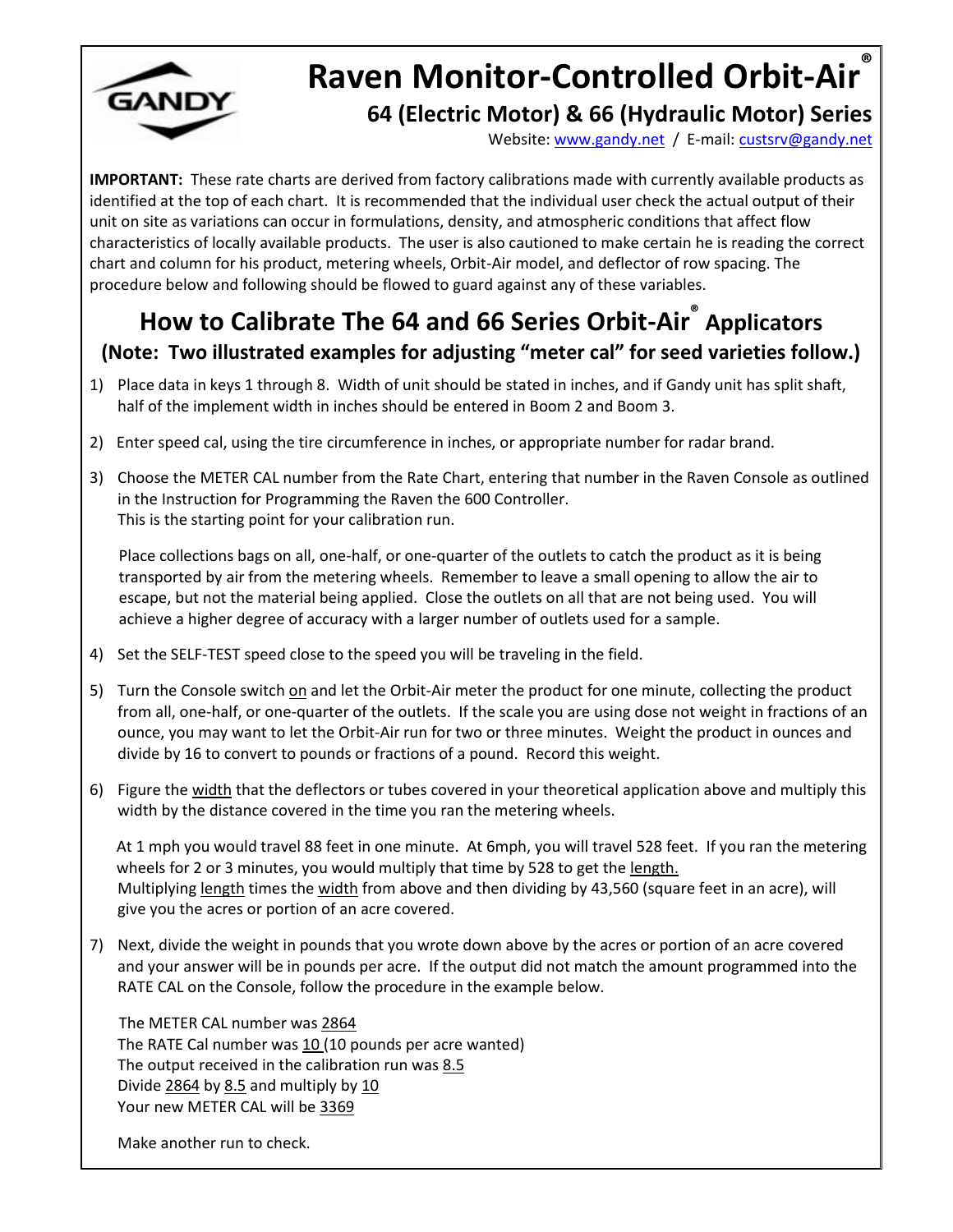

# **Raven Monitor-Controlled Orbit-Air ® 64 (Electric Motor) & 66 (Hydraulic Motor) Series**

Website: [www.gandy.net](http://www.gandy.net/) / E-mail[: custsrv@gandy.net](mailto:custsrv@gandy.net)

**IMPORTANT:** These rate charts are derived from factory calibrations made with currently available products as identified at the top of each chart. It is recommended that the individual user check the actual output of their unit on site as variations can occur in formulations, density, and atmospheric conditions that affect flow characteristics of locally available products. The user is also cautioned to make certain he is reading the correct chart and column for his product, metering wheels, Orbit-Air model, and deflector of row spacing. The procedure below and following should be flowed to guard against any of these variables.

## **How to Calibrate The 64 and 66 Series Orbit-Air ® Applicators (Note: Two illustrated examples for adjusting "meter cal" for seed varieties follow.)**

- 1) Place data in keys 1 through 8. Width of unit should be stated in inches, and if Gandy unit has split shaft, half of the implement width in inches should be entered in Boom 2 and Boom 3.
- 2) Enter speed cal, using the tire circumference in inches, or appropriate number for radar brand.
- 3) Choose the METER CAL number from the Rate Chart, entering that number in the Raven Console as outlined in the Instruction for Programming the Raven the 600 Controller. This is the starting point for your calibration run.

Place collections bags on all, one-half, or one-quarter of the outlets to catch the product as it is being transported by air from the metering wheels. Remember to leave a small opening to allow the air to escape, but not the material being applied. Close the outlets on all that are not being used. You will achieve a higher degree of accuracy with a larger number of outlets used for a sample.

- 4) Set the SELF-TEST speed close to the speed you will be traveling in the field.
- 5) Turn the Console switch on and let the Orbit-Air meter the product for one minute, collecting the product from all, one-half, or one-quarter of the outlets. If the scale you are using dose not weight in fractions of an ounce, you may want to let the Orbit-Air run for two or three minutes. Weight the product in ounces and divide by 16 to convert to pounds or fractions of a pound. Record this weight.
- 6) Figure the width that the deflectors or tubes covered in your theoretical application above and multiply this width by the distance covered in the time you ran the metering wheels.

At 1 mph you would travel 88 feet in one minute. At 6mph, you will travel 528 feet. If you ran the metering wheels for 2 or 3 minutes, you would multiply that time by 528 to get the length. Multiplying length times the width from above and then dividing by 43,560 (square feet in an acre), will give you the acres or portion of an acre covered.

7) Next, divide the weight in pounds that you wrote down above by the acres or portion of an acre covered and your answer will be in pounds per acre. If the output did not match the amount programmed into the RATE CAL on the Console, follow the procedure in the example below.

The METER CAL number was 2864 The RATE Cal number was  $10(10$  pounds per acre wanted) The output received in the calibration run was 8.5 Divide 2864 by 8.5 and multiply by 10 Your new METER CAL will be 3369

Make another run to check.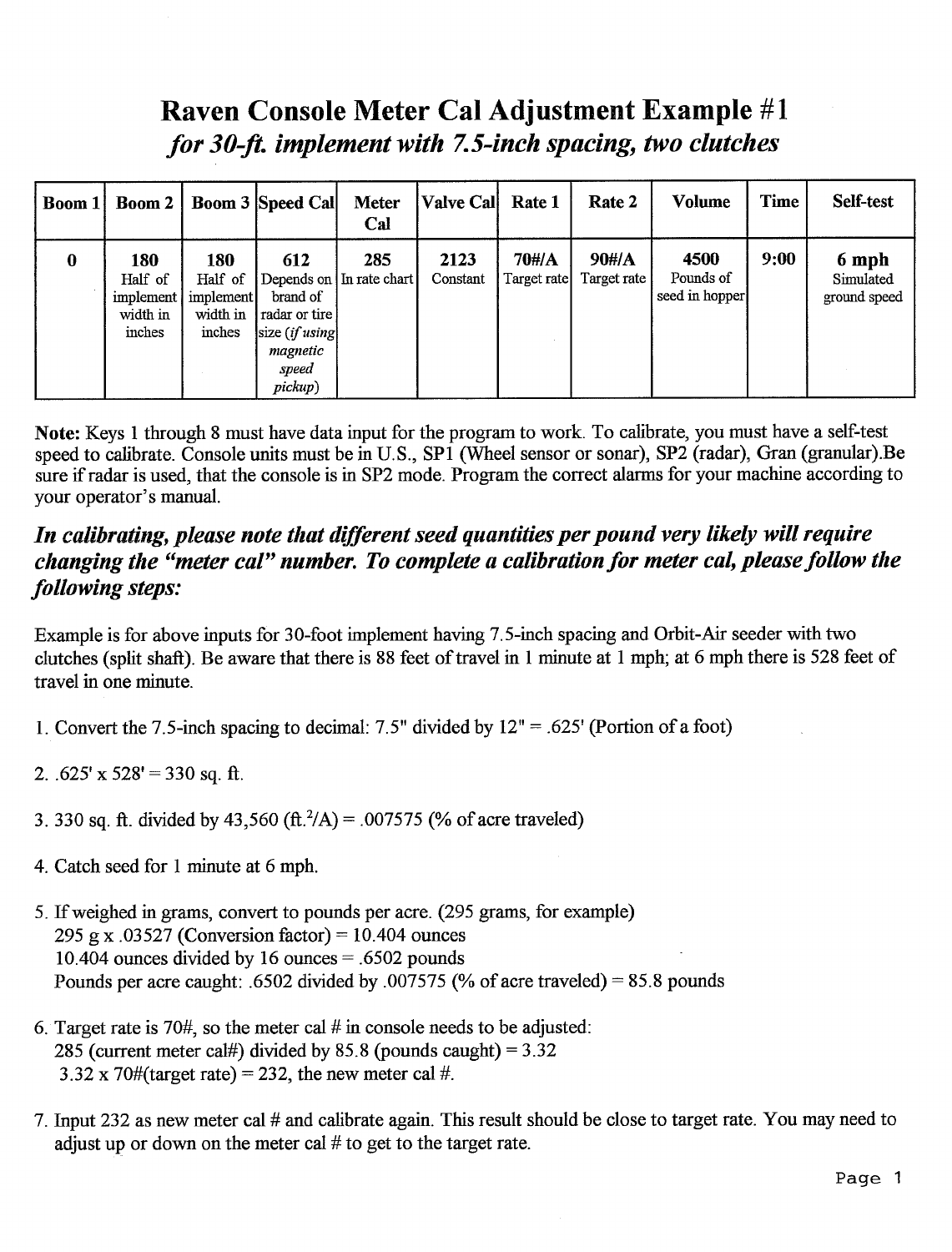## **Raven Console Meter Cal Adjustment Example #1** for 30-ft. implement with 7.5-inch spacing, two clutches

| Boom 1 | <b>Boom 2</b>                                     |                                                   | <b>Boom 3 Speed Call</b>                                                               | <b>Meter</b><br>Cal             | <b>Valve Cal</b> | Rate 1               | Rate 2               | Volume                              | Time | Self-test                          |
|--------|---------------------------------------------------|---------------------------------------------------|----------------------------------------------------------------------------------------|---------------------------------|------------------|----------------------|----------------------|-------------------------------------|------|------------------------------------|
| 0      | 180<br>Half of<br>implement<br>width in<br>inches | 180<br>Half of<br>implement<br>width in<br>inches | 612<br>brand of<br>radar or tire l<br>size $(ifusing]$<br>magnetic<br>speed<br>pickup) | 285<br>Depends on In rate chart | 2123<br>Constant | 70#/A<br>Target rate | 90#/A<br>Target rate | 4500<br>Pounds of<br>seed in hopper | 9:00 | 6 mph<br>Simulated<br>ground speed |

Note: Keys 1 through 8 must have data input for the program to work. To calibrate, you must have a self-test speed to calibrate. Console units must be in U.S., SP1 (Wheel sensor or sonar), SP2 (radar), Gran (granular).Be sure if radar is used, that the console is in SP2 mode. Program the correct alarms for your machine according to your operator's manual.

### In calibrating, please note that different seed quantities per pound very likely will require changing the "meter cal" number. To complete a calibration for meter cal, please follow the following steps:

Example is for above inputs for 30-foot implement having 7.5-inch spacing and Orbit-Air seeder with two clutches (split shaft). Be aware that there is 88 feet of travel in 1 minute at 1 mph; at 6 mph there is 528 feet of travel in one minute.

- 1. Convert the 7.5-inch spacing to decimal: 7.5" divided by  $12" = .625'$  (Portion of a foot)
- 2.  $.625'$  x  $528' = 330$  sq. ft.
- 3. 330 sq. ft. divided by 43,560 (ft.  $^2/A$ ) = .007575 (% of acre traveled)
- 4. Catch seed for 1 minute at 6 mph.
- 5. If weighed in grams, convert to pounds per acre. (295 grams, for example) 295 g x .03527 (Conversion factor) = 10.404 ounces 10.404 ounces divided by 16 ounces =  $.6502$  pounds Pounds per acre caught: .6502 divided by .007575 (% of acre traveled) = 85.8 pounds
- 6. Target rate is 70#, so the meter cal  $#$  in console needs to be adjusted: 285 (current meter cal#) divided by 85.8 (pounds caught) =  $3.32$  $3.32 \times 70\#$ (target rate) = 232, the new meter cal #.
- 7. Input 232 as new meter cal # and calibrate again. This result should be close to target rate. You may need to adjust up or down on the meter cal  $#$  to get to the target rate.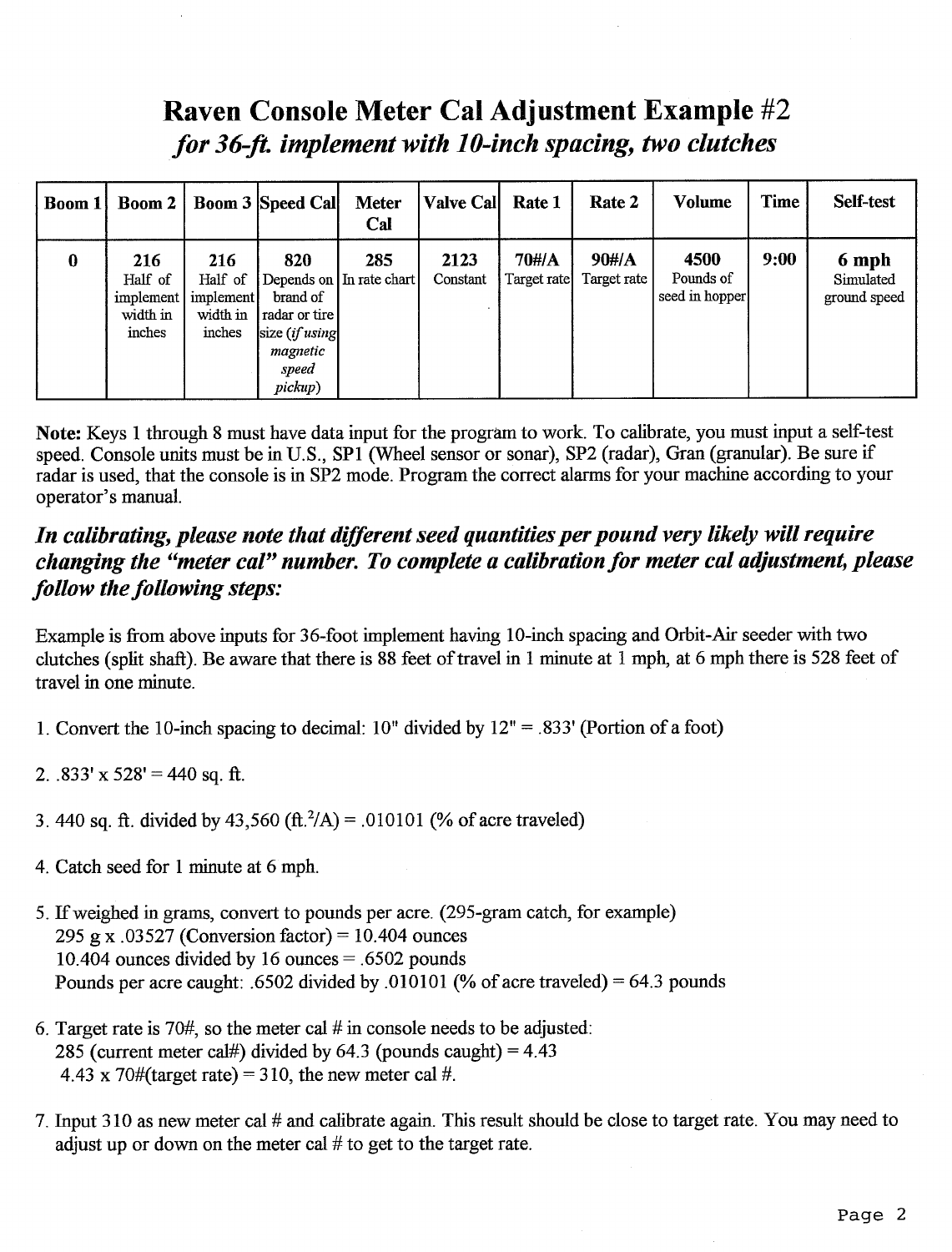## Raven Console Meter Cal Adjustment Example #2 for 36-ft. implement with 10-inch spacing, two clutches

| Boom 1   | Boom 2                                            |                                                   | <b>Boom 3 Speed Call</b>                                                               | <b>Meter</b><br>Cal             | <b>Valve Cal</b> | Rate 1               | Rate 2               | <b>Volume</b>                       | Time | Self-test                          |
|----------|---------------------------------------------------|---------------------------------------------------|----------------------------------------------------------------------------------------|---------------------------------|------------------|----------------------|----------------------|-------------------------------------|------|------------------------------------|
| $\bf{0}$ | 216<br>Half of<br>implement<br>width in<br>inches | 216<br>Half of<br>implement<br>width in<br>inches | 820<br>brand of<br>  radar or tire  <br>size (if using<br>magnetic<br>speed<br>pickup) | 285<br>Depends on In rate chart | 2123<br>Constant | 70#/A<br>Target rate | 90#/A<br>Target rate | 4500<br>Pounds of<br>seed in hopper | 9:00 | 6 mph<br>Simulated<br>ground speed |

Note: Keys 1 through 8 must have data input for the program to work. To calibrate, you must input a self-test speed. Console units must be in U.S., SP1 (Wheel sensor or sonar), SP2 (radar), Gran (granular). Be sure if radar is used, that the console is in SP2 mode. Program the correct alarms for your machine according to your operator's manual.

### In calibrating, please note that different seed quantities per pound very likely will require changing the "meter cal" number. To complete a calibration for meter cal adjustment, please follow the following steps:

Example is from above inputs for 36-foot implement having 10-inch spacing and Orbit-Air seeder with two clutches (split shaft). Be aware that there is 88 feet of travel in 1 minute at 1 mph, at 6 mph there is 528 feet of travel in one minute.

- 1. Convert the 10-inch spacing to decimal:  $10''$  divided by  $12'' = .833'$  (Portion of a foot)
- 2.  $.833'$  x 528' = 440 sq. ft.
- 3.440 sq. ft. divided by 43,560 (ft.  $^2/A$ ) = .010101 (% of acre traveled)
- 4. Catch seed for 1 minute at 6 mph.
- 5. If weighed in grams, convert to pounds per acre. (295-gram catch, for example) 295 g x .03527 (Conversion factor) = 10.404 ounces 10.404 ounces divided by 16 ounces  $= .6502$  pounds Pounds per acre caught: .6502 divided by .010101 (% of acre traveled) = 64.3 pounds
- 6. Target rate is 70#, so the meter cal # in console needs to be adjusted: 285 (current meter cal#) divided by 64.3 (pounds caught) =  $4.43$ 4.43 x 70#(target rate) = 310, the new meter cal #.
- 7. Input 310 as new meter cal # and calibrate again. This result should be close to target rate. You may need to adjust up or down on the meter cal  $#$  to get to the target rate.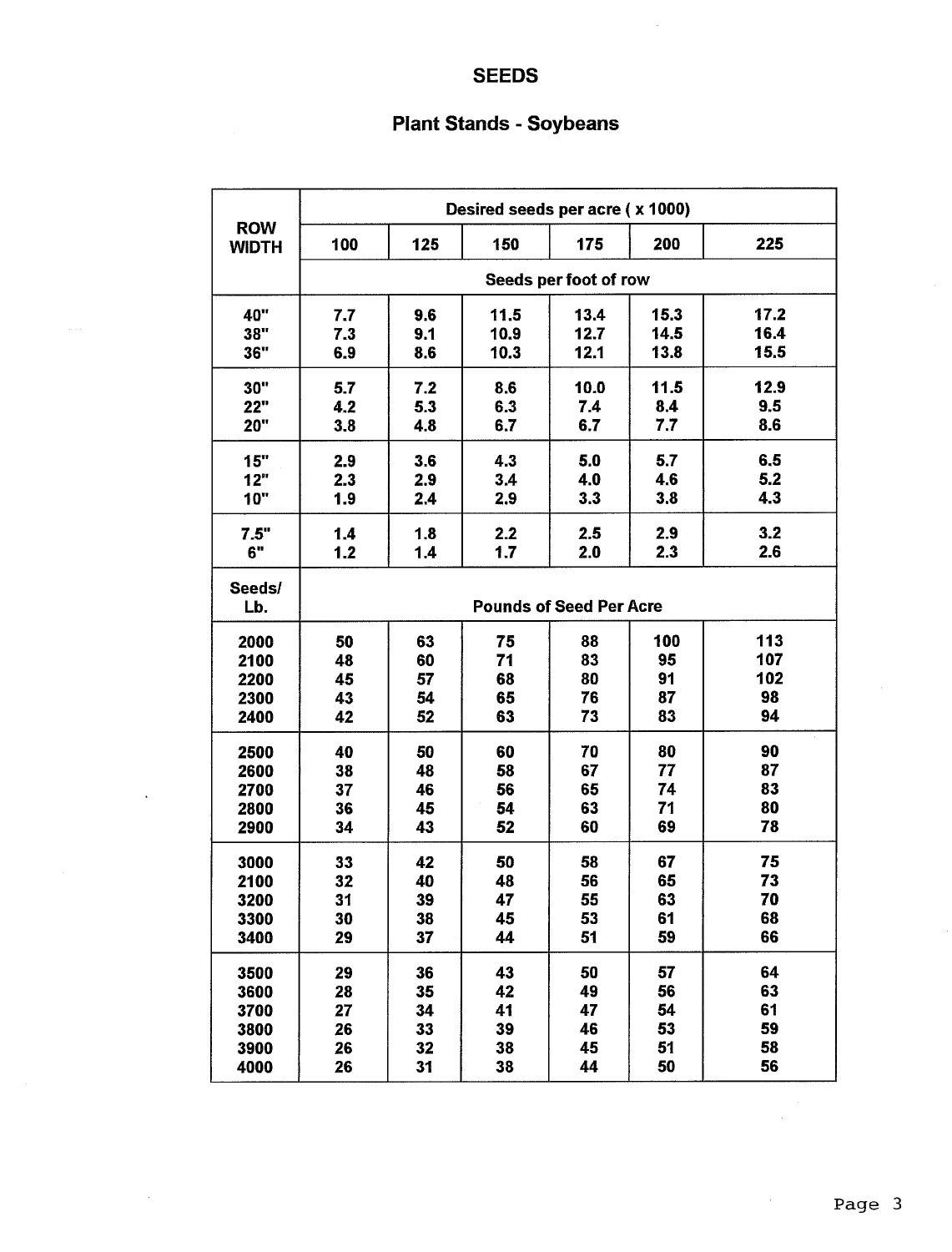### **SEEDS**

 $\bar{\mathcal{A}}$ 

## **Plant Stands - Soybeans**

|                            |     |     | Desired seeds per acre (x 1000) |                                |      |      |  |  |  |
|----------------------------|-----|-----|---------------------------------|--------------------------------|------|------|--|--|--|
| <b>ROW</b><br><b>WIDTH</b> | 100 | 125 | 150                             | 175                            | 200  | 225  |  |  |  |
|                            |     |     |                                 | Seeds per foot of row          |      |      |  |  |  |
| 40"                        | 7.7 | 9.6 | 11.5                            | 13.4                           | 15.3 | 17.2 |  |  |  |
| 38"                        | 7.3 | 9.1 | 10.9                            | 12.7                           | 14.5 | 16.4 |  |  |  |
| 36"                        | 6.9 | 8.6 | 10.3                            | 12.1                           | 13.8 | 15.5 |  |  |  |
| 30"                        | 5.7 | 7.2 | 8.6                             | 10.0                           | 11.5 | 12.9 |  |  |  |
| 22"                        | 4.2 | 5.3 | 6.3                             | 7.4                            | 8.4  | 9.5  |  |  |  |
| <b>20"</b>                 | 3.8 | 4.8 | 6.7                             | 6.7                            | 7.7  | 8.6  |  |  |  |
| 15"                        | 2.9 | 3.6 | 4.3                             | 5.0                            | 5.7  | 6.5  |  |  |  |
| 12"                        | 2.3 | 2.9 | 3.4                             | 4.0                            | 4.6  | 5.2  |  |  |  |
| <b>10"</b>                 | 1.9 | 2.4 | 2.9                             | 3.3                            | 3.8  | 4.3  |  |  |  |
| 7.5"                       | 1.4 | 1.8 | 2.2                             | 2.5                            | 2.9  | 3.2  |  |  |  |
| 6"                         | 1.2 | 1.4 | 1.7                             | 2.0                            | 2.3  | 2.6  |  |  |  |
| Seeds/                     |     |     |                                 |                                |      |      |  |  |  |
| Lb.                        |     |     |                                 | <b>Pounds of Seed Per Acre</b> |      |      |  |  |  |
| 2000                       | 50  | 63  | 75                              | 88                             | 100  | 113  |  |  |  |
| 2100                       | 48  | 60  | 71                              | 83                             | 95   | 107  |  |  |  |
| 2200                       | 45  | 57  | 68                              | 80                             | 91   | 102  |  |  |  |
| 2300                       | 43  | 54  | 65                              | 76                             | 87   | 98   |  |  |  |
| 2400                       | 42  | 52  | 63                              | 73                             | 83   | 94   |  |  |  |
| 2500                       | 40  | 50  | 60                              | 70                             | 80   | 90   |  |  |  |
| 2600                       | 38  | 48  | 58                              | 67                             | 77   | 87   |  |  |  |
| 2700                       | 37  | 46  | 56                              | 65                             | 74   | 83   |  |  |  |
| 2800                       | 36  | 45  | 54                              | 63                             | 71   | 80   |  |  |  |
| 2900                       | 34  | 43  | 52                              | 60                             | 69   | 78   |  |  |  |
| 3000                       | 33  | 42  | 50                              | 58                             | 67   | 75   |  |  |  |
| 2100                       | 32  | 40  | 48                              | 56                             | 65   | 73   |  |  |  |
| 3200                       | 31  | 39  | 47                              | 55                             | 63   | 70   |  |  |  |
| 3300                       | 30  | 38  | 45                              | 53                             | 61   | 68   |  |  |  |
| 3400                       | 29  | 37  | 44                              | 51                             | 59   | 66   |  |  |  |
| 3500                       | 29  | 36  | 43                              | 50                             | 57   | 64   |  |  |  |
| 3600                       | 28  | 35  | 42                              | 49                             | 56   | 63   |  |  |  |
| 3700                       | 27  | 34  | 41                              | 47                             | 54   | 61   |  |  |  |
| 3800                       | 26  | 33  | 39                              | 46                             | 53   | 59   |  |  |  |
| 3900                       | 26  | 32  | 38                              | 45                             | 51   | 58   |  |  |  |
| 4000                       | 26  | 31  | 38                              | 44                             | 50   | 56   |  |  |  |

 $\bar{z}$ 

 $\bar{z}$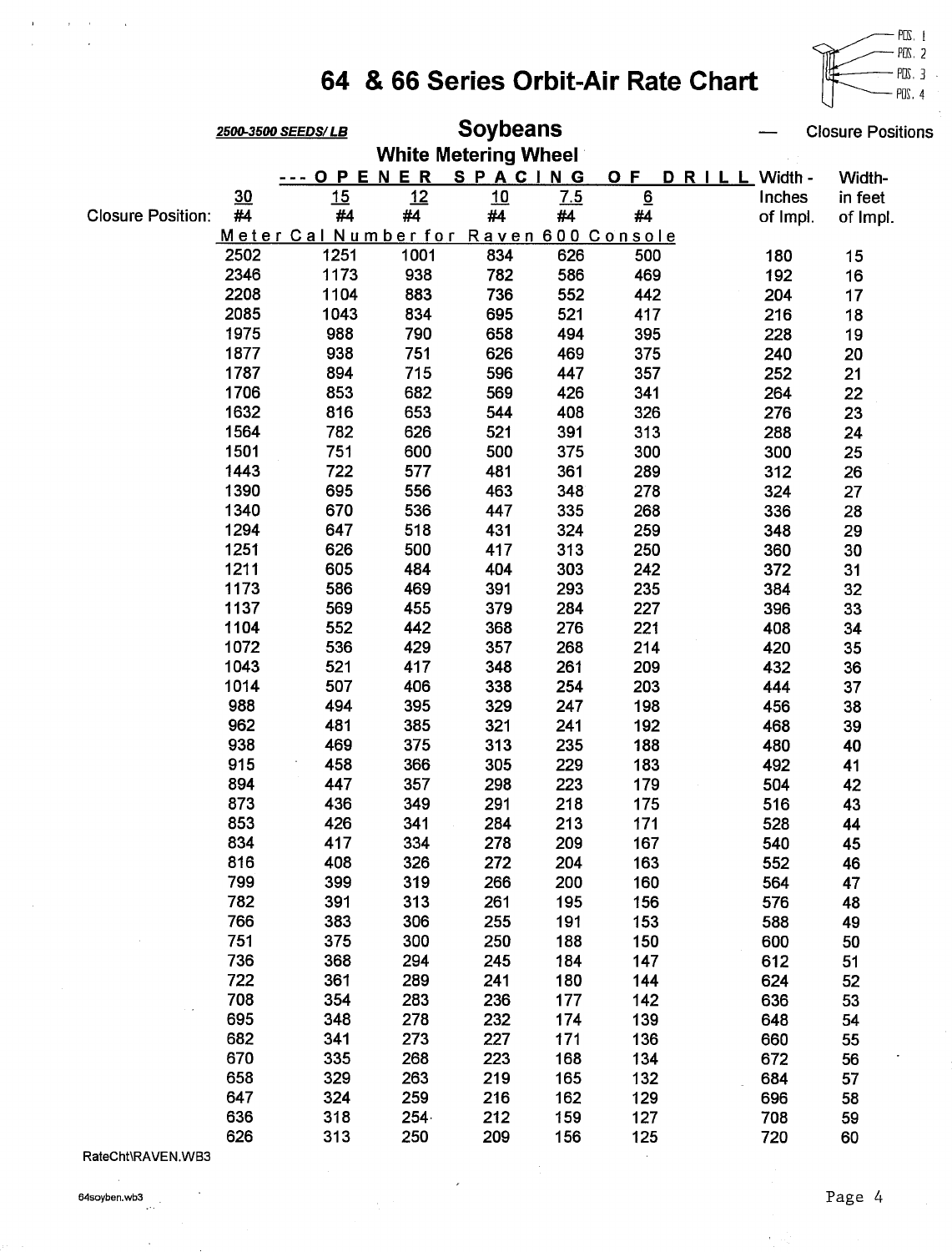

|                          |      | <b>Closure Positions</b>               |      |                             |     |                 |                   |          |
|--------------------------|------|----------------------------------------|------|-----------------------------|-----|-----------------|-------------------|----------|
|                          |      |                                        |      | <b>White Metering Wheel</b> |     |                 |                   |          |
|                          |      | O P                                    | ENER | SPACING                     |     | O F             | D R I L L Width - | Width-   |
|                          | 30   | 15                                     | 12   | 10                          | 7.5 | $\underline{6}$ | Inches            | in feet  |
| <b>Closure Position:</b> | #4   | #4                                     | #4   | #4                          | #4  | #4              | of Impl.          | of Impl. |
|                          |      | Meter Cal Number for Raven 600 Console |      |                             |     |                 |                   |          |
|                          | 2502 | 1251                                   | 1001 | 834                         | 626 | 500             | 180               | 15       |
|                          | 2346 | 1173                                   | 938  | 782                         | 586 | 469             | 192               | 16       |
|                          | 2208 | 1104                                   | 883  | 736                         | 552 | 442             | 204               | 17       |
|                          | 2085 | 1043                                   | 834  | 695                         | 521 | 417             | 216               | 18       |
|                          | 1975 | 988                                    | 790  | 658                         | 494 | 395             | 228               | 19       |
|                          | 1877 | 938                                    | 751  | 626                         | 469 | 375             | 240               | 20       |
|                          | 1787 | 894                                    | 715  | 596                         | 447 | 357             | 252               | 21       |
|                          | 1706 | 853                                    | 682  | 569                         | 426 | 341             | 264               | 22       |
|                          | 1632 | 816                                    | 653  | 544                         | 408 | 326             | 276               | 23       |
|                          | 1564 | 782                                    | 626  | 521                         | 391 | 313             | 288               | 24       |
|                          | 1501 | 751                                    | 600  | 500                         | 375 | 300             | 300               | 25       |
|                          | 1443 | 722                                    | 577  | 481                         | 361 | 289             | 312               | 26       |
|                          | 1390 | 695                                    | 556  | 463                         | 348 | 278             | 324               | 27       |
|                          | 1340 | 670                                    | 536  | 447                         | 335 | 268             | 336               | 28       |
|                          | 1294 | 647                                    | 518  | 431                         | 324 | 259             | 348               | 29       |
|                          | 1251 | 626                                    | 500  | 417                         | 313 | 250             | 360               | 30       |
|                          | 1211 | 605                                    | 484  | 404                         | 303 | 242             | 372               | 31       |
|                          | 1173 | 586                                    | 469  | 391                         | 293 | 235             | 384               | 32       |
|                          | 1137 | 569                                    | 455  | 379                         | 284 | 227             | 396               | 33       |
|                          | 1104 | 552                                    | 442  | 368                         | 276 | 221             | 408               | 34       |
|                          | 1072 | 536                                    | 429  | 357                         | 268 | 214             | 420               | 35       |
|                          | 1043 | 521                                    | 417  | 348                         | 261 | 209             | 432               | 36       |
|                          | 1014 | 507                                    | 406  | 338                         | 254 | 203             | 444               | 37       |
|                          | 988  | 494                                    | 395  | 329                         | 247 | 198             | 456               | 38       |
|                          | 962  | 481                                    | 385  | 321                         | 241 | 192             | 468               | 39       |
|                          | 938  | 469                                    | 375  | 313                         | 235 | 188             | 480               | 40       |
|                          | 915  | 458                                    | 366  | 305                         | 229 | 183             | 492               | 41       |
|                          | 894  | 447                                    | 357  | 298                         | 223 | 179             | 504               | 42       |
|                          | 873  | 436                                    | 349  | 291                         | 218 | 175             | 516               | 43       |
|                          | 853  | 426                                    | 341  | 284                         | 213 | 171             | 528               | 44       |
|                          | 834  | 417                                    | 334  | 278                         | 209 | 167             | 540               | 45       |
|                          | 816  | 408                                    | 326  | 272                         | 204 | 163             | 552               | 46       |
|                          | 799  | 399                                    | 319  | 266                         | 200 | 160             | 564               | 47       |
|                          | 782  | 391                                    | 313  | 261                         | 195 | 156             | 576               | 48       |
|                          | 766  | 383                                    | 306  | 255                         | 191 | 153             | 588               | 49       |
|                          | 751  | 375                                    | 300  | 250                         | 188 | 150             | 600               | 50       |
|                          | 736  | 368                                    | 294  | 245                         | 184 | 147             | 612               | 51       |
|                          | 722  | 361                                    | 289  | 241                         | 180 | 144             | 624               | 52       |
|                          | 708  | 354                                    | 283  | 236                         | 177 | 142             | 636               | 53       |
|                          | 695  | 348                                    | 278  | 232                         | 174 | 139             | 648               | 54       |
|                          | 682  | 341                                    | 273  | 227                         | 171 | 136             | 660               | 55       |
|                          | 670  | 335                                    | 268  | 223                         | 168 | 134             | 672               | 56       |
|                          | 658  | 329                                    | 263  | 219                         | 165 | 132             | 684               | 57       |
|                          | 647  | 324                                    | 259  | 216                         | 162 | 129             | 696               | 58       |
|                          | 636  | 318                                    | 254  | 212                         | 159 | 127             | 708               | 59       |
|                          | 626  | 313                                    | 250  | 209                         | 156 | 125             | 720               | 60       |

RateCht\RAVEN.WB3

 $\alpha$  ,  $\alpha$  ,  $\alpha$ 

 $\overline{\phantom{a}}$ 

 $\rightarrow$ 

 $\mathbf{r}$ 

 $\bar{z}$ 

 $\sim$  .

 $\bar{z}$ 

 $\bar{z}$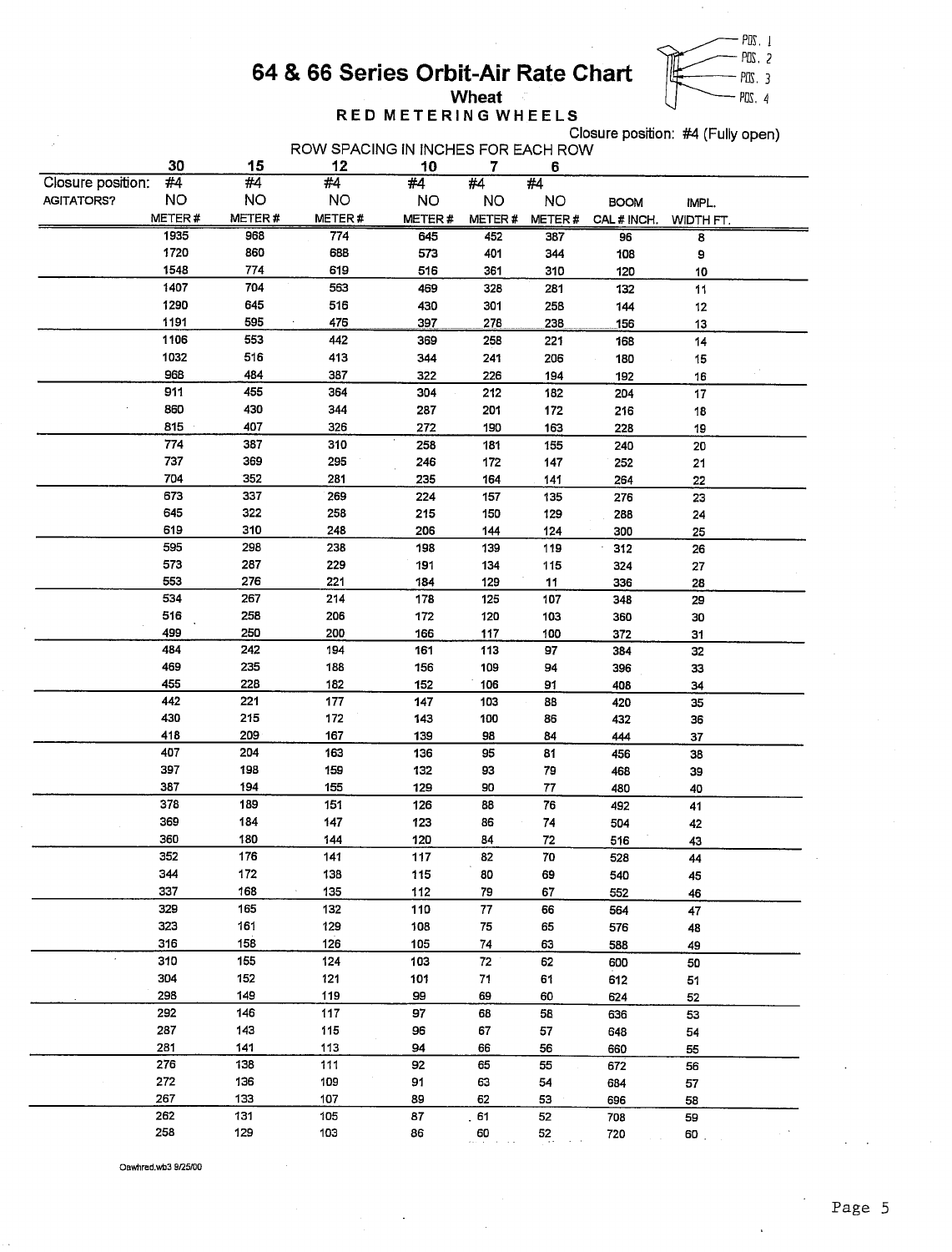

## RED METERING WHEELS

Closure position: #4 (Fully open)

|                   | 30        | 15     | ROW SPACING IN INCHES FOR EACH ROW<br>12 | 10        | 7          | 6      |             |                    |  |
|-------------------|-----------|--------|------------------------------------------|-----------|------------|--------|-------------|--------------------|--|
| Closure position: | #4        | #4     | #4                                       | #4        | #4         | #4     |             |                    |  |
| <b>AGITATORS?</b> | <b>NO</b> | NO     | <b>NO</b>                                | <b>NO</b> | <b>NO</b>  | NO     | <b>BOOM</b> |                    |  |
|                   | METER#    | METER# | METER#                                   | METER#    | METER#     | METER# | CAL # INCH. | IMPL.<br>WIDTH FT. |  |
|                   | 1935      | 968    | 774                                      | 645       | 452        | 387    | 96          | 8                  |  |
|                   | 1720      | 860    | 688                                      | 573       | 401        | 344    | 108         | 9                  |  |
|                   | 1548      | 774    | 619                                      | 516       | 361        | 310    | 120         | 10                 |  |
|                   | 1407      | 704    | 563                                      | 469       | 328        | 281    | 132         | 11                 |  |
|                   | 1290      | 645    | 516                                      | 430       | 301        | 258    | 144         | 12                 |  |
|                   | 1191      | 595    | 476                                      | 397       | 278        | 238    | 156         | 13                 |  |
|                   | 1106      | 553    | 442                                      | 369       | 258        | 221    | 168         | 14                 |  |
|                   | 1032      | 516    | 413                                      | 344       | 241        | 206    | 180         | 15                 |  |
|                   | 968       | 484    | 387                                      | 322       | 226        | 194    | 192         | 16                 |  |
|                   | 911       | 455    | 364                                      | 304       | 212        | 182    | 204         | 17                 |  |
|                   | 860       | 430    | 344                                      | 287       | 201        | 172    | 216         | 18                 |  |
|                   | 815       | 407    | 326                                      | 272       | 190        | 163    | 228         | 19                 |  |
|                   | 774       | 387    | 310                                      | 258       | 181        | 155    | 240         | 20                 |  |
|                   | 737       | 369    | 295                                      | 246       | 172        | 147    | 252         | 21                 |  |
|                   | 704       | 352    | 281                                      | 235       | 164        | 141    | 264         | 22                 |  |
|                   | 673       | 337    | 269                                      | 224       | 157        | 135    | 276         | 23                 |  |
|                   | 645       | 322    | 258                                      | 215       | 150        | 129    | 288         | 24                 |  |
|                   | 619       | 310    | 248                                      | 206       | 144        | 124    | 300         | 25                 |  |
|                   | 595       | 298    | 238                                      | 198       | 139        | 119    | 312         | 26                 |  |
|                   | 573       | 287    | 229                                      | 191       | 134        | 115    | 324         | 27                 |  |
|                   | 553       | 276    | 221                                      | 184       | 129        | 11     | 336         | 28                 |  |
|                   | 534       | 267    | 214                                      | 178       | 125        | 107    | 348         | 29                 |  |
|                   | 516       | 258    | 206                                      | 172       | 120        | 103    | 360         | 30                 |  |
|                   | 499       | 250    | 200                                      | 166       | 117        | 100    | 372         | 31                 |  |
|                   | 484       | 242    | 194                                      | 161       | 113        | 97     | 384         | 32                 |  |
|                   | 469       | 235    | 188                                      | 156       | 109        | 94     | 396         | 33                 |  |
|                   | 455       | 228    | 182                                      | 152       | 106        | 91     | 408         | 34                 |  |
|                   | 442       | 221    | 177                                      | 147       | 103        | 88     | 420         | 35                 |  |
|                   | 430       | 215    | 172                                      | 143       | 100        | 86     | 432         | 36                 |  |
|                   | 418       | 209    | 167                                      | 139       | 98         | 84     | 444         | 37                 |  |
|                   | 407       | 204    | 163                                      | 136       | 95         | 81     | 456         | 38                 |  |
|                   | 397       | 198    | 159                                      | 132       | 93         | 79     | 468         | 39                 |  |
|                   | 387       | 194    | 155                                      | 129       | 90         | 77     | 480         | 40                 |  |
|                   | 378       | 189    | 151                                      | 126       | 88         | 76     | 492         | 41                 |  |
|                   | 369       | 184    | 147                                      | 123       | 86         | 74     | 504         | 42                 |  |
|                   | 360       | 180    | 144                                      | 120       | 84         | 72     | 516         | 43                 |  |
|                   | 352       | 176    | 141                                      | 117       | 82         | 70     | 528         | 44                 |  |
|                   | 344       | 172    | 138                                      | 115       | 80         | 69     | 540         | 45                 |  |
|                   | 337       | 168    | 135<br>$\cdot$                           | 112       | 79         | 67     | 552         | 46                 |  |
|                   | 329       | 165    | 132                                      | 110       | 77         | 66     | 564         | 47                 |  |
|                   | 323       | 161    | 129                                      | 108       | 75         | 65     | 576         | 48                 |  |
|                   | 316       | 158    | 126                                      | 105       | 74         | 63     | 588         | 49                 |  |
|                   | 310       | 155    | 124                                      | 103       | ${\bf 72}$ | 62     | 600         | 50                 |  |
|                   | 304       | 152    | 121                                      | 101       | 71         | 61     | 612         | 51                 |  |
|                   | 298       | 149    | 119                                      | 99        | 69         | 60     | 624         | 52                 |  |
|                   | 292       | 146    | 117                                      | 97        | 68         | 58     | 636         | 53                 |  |
|                   | 287       | 143    | 115                                      | 96        | 67         | 57     | 648         | 54                 |  |
|                   | 281       | 141    | 113                                      | 94        | 66         | 56     | 660         | 55                 |  |
|                   | 276       | 138    | 111                                      | 92        | 65         | 55     | 672         | 56                 |  |
|                   | 272       | 136    | 109                                      | 91        | 63         | 54     | 684         | 57                 |  |
|                   | 267       | 133    | 107                                      | 89        | 62         | 53     | 696         | 58                 |  |
|                   | 262       | 131    | 105                                      | 87        | 51         | 52     | 708         | 59                 |  |
|                   | 258       | 129    | 103                                      | 86        | 60         | 52     | 720         | 60.                |  |
|                   |           |        |                                          |           |            |        |             |                    |  |

Oawhred.wb3 9/25/00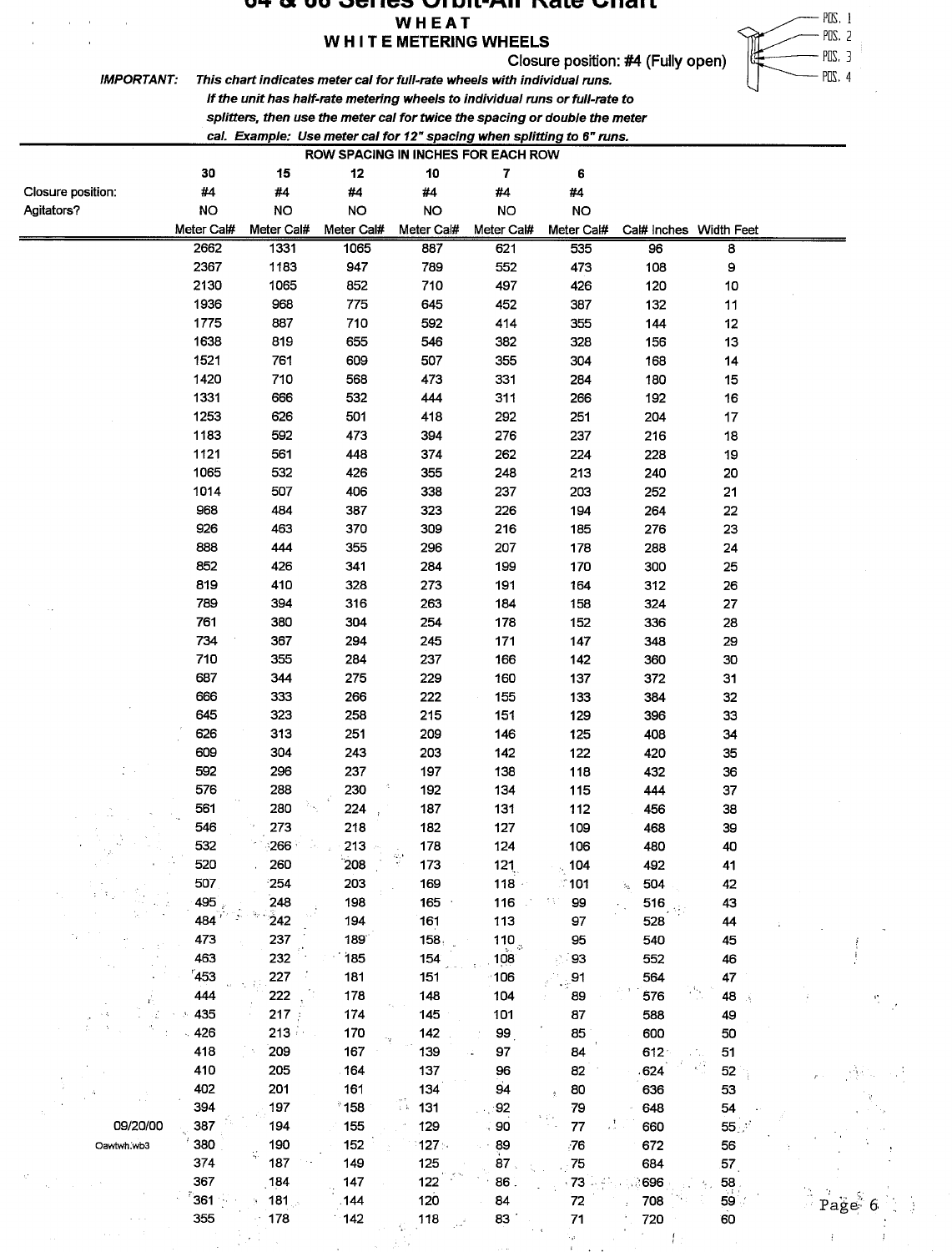#### sne I NILTAII л vale Uliai l WHEAT

### WHITE METERING WHEELS

Closure position: #4 (Fully open)



**IMPORTANT:** 

This chart indicates meter cal for full-rate wheels with individual runs. If the unit has half-rate metering wheels to individual runs or full-rate to

splitters, then use the meter cal for twice the spacing or double the meter

cal. Example: Use meter cal for 12" spacing when splitting to 6" runs.

| 30<br>15<br>12<br>10<br>7<br>6<br>Closure position:<br>#4<br>#4<br>#4<br>#4<br>#4<br>#4<br><b>NO</b><br>Agitators?<br><b>NO</b><br><b>NO</b><br><b>NO</b><br><b>NO</b><br><b>NO</b><br>Meter Cal#<br>Meter Cal#<br>Meter Cal#<br>Meter Cal#<br>Meter Cal#<br>Meter Cal#<br>Cal# Inches Width Feet<br>2662<br>1331<br>1065<br>887<br>621<br>535<br>96<br>8<br>2367<br>1183<br>9<br>947<br>789<br>552<br>473<br>108<br>2130<br>1065<br>852<br>710<br>497<br>120<br>426<br>10<br>1936<br>968<br>775<br>645<br>452<br>387<br>132<br>11<br>1775<br>887<br>710<br>592<br>414<br>355<br>144<br>12<br>1638<br>819<br>655<br>546<br>382<br>328<br>156<br>13<br>1521<br>761<br>609<br>507<br>355<br>304<br>168<br>14<br>1420<br>710<br>568<br>473<br>331<br>284<br>180<br>15<br>1331<br>666<br>532<br>444<br>311<br>266<br>192<br>16<br>1253<br>626<br>501<br>418<br>292<br>251<br>204<br>17<br>1183<br>592<br>473<br>394<br>276<br>237<br>216<br>18<br>1121<br>561<br>448<br>374<br>262<br>228<br>224<br>19<br>1065<br>532<br>426<br>355<br>248<br>213<br>240<br>20<br>1014<br>507<br>406<br>338<br>237<br>203<br>252<br>21<br>968<br>484<br>226<br>387<br>323<br>194<br>264<br>22<br>926<br>463<br>370<br>309<br>216<br>276<br>23<br>185<br>888<br>444<br>355<br>207<br>296<br>178<br>288<br>24<br>852<br>426<br>341<br>284<br>199<br>300<br>170<br>25<br>819<br>410<br>273<br>328<br>191<br>164<br>312<br>26<br>789<br>394<br>316<br>263<br>184<br>324<br>27<br>158<br>761<br>380<br>304<br>254<br>178<br>336<br>28<br>152<br>734<br>367<br>294<br>245<br>171<br>147<br>348<br>29<br>710<br>355<br>284<br>237<br>166<br>142<br>360<br>30<br>687<br>344<br>275<br>229<br>160<br>372<br>31<br>137<br>666<br>333<br>266<br>222<br>32<br>155<br>133<br>384<br>645<br>323<br>258<br>215<br>151<br>396<br>33<br>129<br>626<br>313<br>251<br>209<br>146<br>408<br>34<br>125<br>609<br>304<br>243<br>203<br>142<br>122<br>420<br>35<br>592<br>296<br>237<br>197<br>138<br>118<br>432<br>36<br>576<br>288<br>230<br>192<br>134<br>444<br>37<br>115<br>561<br>280<br>224<br>187<br>131<br>112<br>456<br>38<br>546<br>273<br>218<br>182<br>127<br>109<br>468<br>39 |                     |
|--------------------------------------------------------------------------------------------------------------------------------------------------------------------------------------------------------------------------------------------------------------------------------------------------------------------------------------------------------------------------------------------------------------------------------------------------------------------------------------------------------------------------------------------------------------------------------------------------------------------------------------------------------------------------------------------------------------------------------------------------------------------------------------------------------------------------------------------------------------------------------------------------------------------------------------------------------------------------------------------------------------------------------------------------------------------------------------------------------------------------------------------------------------------------------------------------------------------------------------------------------------------------------------------------------------------------------------------------------------------------------------------------------------------------------------------------------------------------------------------------------------------------------------------------------------------------------------------------------------------------------------------------------------------------------------------------------------------------------------------------------------------------------------------------------------------------------------------------------------------------------------------------------------------------------------------------------------------------------------------------------------------------------------------------------------------------------------------------------------------------------------------------|---------------------|
|                                                                                                                                                                                                                                                                                                                                                                                                                                                                                                                                                                                                                                                                                                                                                                                                                                                                                                                                                                                                                                                                                                                                                                                                                                                                                                                                                                                                                                                                                                                                                                                                                                                                                                                                                                                                                                                                                                                                                                                                                                                                                                                                                  |                     |
|                                                                                                                                                                                                                                                                                                                                                                                                                                                                                                                                                                                                                                                                                                                                                                                                                                                                                                                                                                                                                                                                                                                                                                                                                                                                                                                                                                                                                                                                                                                                                                                                                                                                                                                                                                                                                                                                                                                                                                                                                                                                                                                                                  |                     |
|                                                                                                                                                                                                                                                                                                                                                                                                                                                                                                                                                                                                                                                                                                                                                                                                                                                                                                                                                                                                                                                                                                                                                                                                                                                                                                                                                                                                                                                                                                                                                                                                                                                                                                                                                                                                                                                                                                                                                                                                                                                                                                                                                  |                     |
|                                                                                                                                                                                                                                                                                                                                                                                                                                                                                                                                                                                                                                                                                                                                                                                                                                                                                                                                                                                                                                                                                                                                                                                                                                                                                                                                                                                                                                                                                                                                                                                                                                                                                                                                                                                                                                                                                                                                                                                                                                                                                                                                                  |                     |
|                                                                                                                                                                                                                                                                                                                                                                                                                                                                                                                                                                                                                                                                                                                                                                                                                                                                                                                                                                                                                                                                                                                                                                                                                                                                                                                                                                                                                                                                                                                                                                                                                                                                                                                                                                                                                                                                                                                                                                                                                                                                                                                                                  |                     |
|                                                                                                                                                                                                                                                                                                                                                                                                                                                                                                                                                                                                                                                                                                                                                                                                                                                                                                                                                                                                                                                                                                                                                                                                                                                                                                                                                                                                                                                                                                                                                                                                                                                                                                                                                                                                                                                                                                                                                                                                                                                                                                                                                  |                     |
|                                                                                                                                                                                                                                                                                                                                                                                                                                                                                                                                                                                                                                                                                                                                                                                                                                                                                                                                                                                                                                                                                                                                                                                                                                                                                                                                                                                                                                                                                                                                                                                                                                                                                                                                                                                                                                                                                                                                                                                                                                                                                                                                                  |                     |
|                                                                                                                                                                                                                                                                                                                                                                                                                                                                                                                                                                                                                                                                                                                                                                                                                                                                                                                                                                                                                                                                                                                                                                                                                                                                                                                                                                                                                                                                                                                                                                                                                                                                                                                                                                                                                                                                                                                                                                                                                                                                                                                                                  |                     |
|                                                                                                                                                                                                                                                                                                                                                                                                                                                                                                                                                                                                                                                                                                                                                                                                                                                                                                                                                                                                                                                                                                                                                                                                                                                                                                                                                                                                                                                                                                                                                                                                                                                                                                                                                                                                                                                                                                                                                                                                                                                                                                                                                  |                     |
|                                                                                                                                                                                                                                                                                                                                                                                                                                                                                                                                                                                                                                                                                                                                                                                                                                                                                                                                                                                                                                                                                                                                                                                                                                                                                                                                                                                                                                                                                                                                                                                                                                                                                                                                                                                                                                                                                                                                                                                                                                                                                                                                                  |                     |
|                                                                                                                                                                                                                                                                                                                                                                                                                                                                                                                                                                                                                                                                                                                                                                                                                                                                                                                                                                                                                                                                                                                                                                                                                                                                                                                                                                                                                                                                                                                                                                                                                                                                                                                                                                                                                                                                                                                                                                                                                                                                                                                                                  |                     |
|                                                                                                                                                                                                                                                                                                                                                                                                                                                                                                                                                                                                                                                                                                                                                                                                                                                                                                                                                                                                                                                                                                                                                                                                                                                                                                                                                                                                                                                                                                                                                                                                                                                                                                                                                                                                                                                                                                                                                                                                                                                                                                                                                  |                     |
|                                                                                                                                                                                                                                                                                                                                                                                                                                                                                                                                                                                                                                                                                                                                                                                                                                                                                                                                                                                                                                                                                                                                                                                                                                                                                                                                                                                                                                                                                                                                                                                                                                                                                                                                                                                                                                                                                                                                                                                                                                                                                                                                                  |                     |
|                                                                                                                                                                                                                                                                                                                                                                                                                                                                                                                                                                                                                                                                                                                                                                                                                                                                                                                                                                                                                                                                                                                                                                                                                                                                                                                                                                                                                                                                                                                                                                                                                                                                                                                                                                                                                                                                                                                                                                                                                                                                                                                                                  |                     |
|                                                                                                                                                                                                                                                                                                                                                                                                                                                                                                                                                                                                                                                                                                                                                                                                                                                                                                                                                                                                                                                                                                                                                                                                                                                                                                                                                                                                                                                                                                                                                                                                                                                                                                                                                                                                                                                                                                                                                                                                                                                                                                                                                  |                     |
|                                                                                                                                                                                                                                                                                                                                                                                                                                                                                                                                                                                                                                                                                                                                                                                                                                                                                                                                                                                                                                                                                                                                                                                                                                                                                                                                                                                                                                                                                                                                                                                                                                                                                                                                                                                                                                                                                                                                                                                                                                                                                                                                                  |                     |
|                                                                                                                                                                                                                                                                                                                                                                                                                                                                                                                                                                                                                                                                                                                                                                                                                                                                                                                                                                                                                                                                                                                                                                                                                                                                                                                                                                                                                                                                                                                                                                                                                                                                                                                                                                                                                                                                                                                                                                                                                                                                                                                                                  |                     |
|                                                                                                                                                                                                                                                                                                                                                                                                                                                                                                                                                                                                                                                                                                                                                                                                                                                                                                                                                                                                                                                                                                                                                                                                                                                                                                                                                                                                                                                                                                                                                                                                                                                                                                                                                                                                                                                                                                                                                                                                                                                                                                                                                  |                     |
|                                                                                                                                                                                                                                                                                                                                                                                                                                                                                                                                                                                                                                                                                                                                                                                                                                                                                                                                                                                                                                                                                                                                                                                                                                                                                                                                                                                                                                                                                                                                                                                                                                                                                                                                                                                                                                                                                                                                                                                                                                                                                                                                                  |                     |
|                                                                                                                                                                                                                                                                                                                                                                                                                                                                                                                                                                                                                                                                                                                                                                                                                                                                                                                                                                                                                                                                                                                                                                                                                                                                                                                                                                                                                                                                                                                                                                                                                                                                                                                                                                                                                                                                                                                                                                                                                                                                                                                                                  |                     |
|                                                                                                                                                                                                                                                                                                                                                                                                                                                                                                                                                                                                                                                                                                                                                                                                                                                                                                                                                                                                                                                                                                                                                                                                                                                                                                                                                                                                                                                                                                                                                                                                                                                                                                                                                                                                                                                                                                                                                                                                                                                                                                                                                  |                     |
|                                                                                                                                                                                                                                                                                                                                                                                                                                                                                                                                                                                                                                                                                                                                                                                                                                                                                                                                                                                                                                                                                                                                                                                                                                                                                                                                                                                                                                                                                                                                                                                                                                                                                                                                                                                                                                                                                                                                                                                                                                                                                                                                                  |                     |
|                                                                                                                                                                                                                                                                                                                                                                                                                                                                                                                                                                                                                                                                                                                                                                                                                                                                                                                                                                                                                                                                                                                                                                                                                                                                                                                                                                                                                                                                                                                                                                                                                                                                                                                                                                                                                                                                                                                                                                                                                                                                                                                                                  |                     |
|                                                                                                                                                                                                                                                                                                                                                                                                                                                                                                                                                                                                                                                                                                                                                                                                                                                                                                                                                                                                                                                                                                                                                                                                                                                                                                                                                                                                                                                                                                                                                                                                                                                                                                                                                                                                                                                                                                                                                                                                                                                                                                                                                  |                     |
|                                                                                                                                                                                                                                                                                                                                                                                                                                                                                                                                                                                                                                                                                                                                                                                                                                                                                                                                                                                                                                                                                                                                                                                                                                                                                                                                                                                                                                                                                                                                                                                                                                                                                                                                                                                                                                                                                                                                                                                                                                                                                                                                                  |                     |
|                                                                                                                                                                                                                                                                                                                                                                                                                                                                                                                                                                                                                                                                                                                                                                                                                                                                                                                                                                                                                                                                                                                                                                                                                                                                                                                                                                                                                                                                                                                                                                                                                                                                                                                                                                                                                                                                                                                                                                                                                                                                                                                                                  |                     |
|                                                                                                                                                                                                                                                                                                                                                                                                                                                                                                                                                                                                                                                                                                                                                                                                                                                                                                                                                                                                                                                                                                                                                                                                                                                                                                                                                                                                                                                                                                                                                                                                                                                                                                                                                                                                                                                                                                                                                                                                                                                                                                                                                  |                     |
|                                                                                                                                                                                                                                                                                                                                                                                                                                                                                                                                                                                                                                                                                                                                                                                                                                                                                                                                                                                                                                                                                                                                                                                                                                                                                                                                                                                                                                                                                                                                                                                                                                                                                                                                                                                                                                                                                                                                                                                                                                                                                                                                                  |                     |
|                                                                                                                                                                                                                                                                                                                                                                                                                                                                                                                                                                                                                                                                                                                                                                                                                                                                                                                                                                                                                                                                                                                                                                                                                                                                                                                                                                                                                                                                                                                                                                                                                                                                                                                                                                                                                                                                                                                                                                                                                                                                                                                                                  |                     |
|                                                                                                                                                                                                                                                                                                                                                                                                                                                                                                                                                                                                                                                                                                                                                                                                                                                                                                                                                                                                                                                                                                                                                                                                                                                                                                                                                                                                                                                                                                                                                                                                                                                                                                                                                                                                                                                                                                                                                                                                                                                                                                                                                  |                     |
|                                                                                                                                                                                                                                                                                                                                                                                                                                                                                                                                                                                                                                                                                                                                                                                                                                                                                                                                                                                                                                                                                                                                                                                                                                                                                                                                                                                                                                                                                                                                                                                                                                                                                                                                                                                                                                                                                                                                                                                                                                                                                                                                                  |                     |
|                                                                                                                                                                                                                                                                                                                                                                                                                                                                                                                                                                                                                                                                                                                                                                                                                                                                                                                                                                                                                                                                                                                                                                                                                                                                                                                                                                                                                                                                                                                                                                                                                                                                                                                                                                                                                                                                                                                                                                                                                                                                                                                                                  |                     |
|                                                                                                                                                                                                                                                                                                                                                                                                                                                                                                                                                                                                                                                                                                                                                                                                                                                                                                                                                                                                                                                                                                                                                                                                                                                                                                                                                                                                                                                                                                                                                                                                                                                                                                                                                                                                                                                                                                                                                                                                                                                                                                                                                  |                     |
|                                                                                                                                                                                                                                                                                                                                                                                                                                                                                                                                                                                                                                                                                                                                                                                                                                                                                                                                                                                                                                                                                                                                                                                                                                                                                                                                                                                                                                                                                                                                                                                                                                                                                                                                                                                                                                                                                                                                                                                                                                                                                                                                                  |                     |
|                                                                                                                                                                                                                                                                                                                                                                                                                                                                                                                                                                                                                                                                                                                                                                                                                                                                                                                                                                                                                                                                                                                                                                                                                                                                                                                                                                                                                                                                                                                                                                                                                                                                                                                                                                                                                                                                                                                                                                                                                                                                                                                                                  |                     |
|                                                                                                                                                                                                                                                                                                                                                                                                                                                                                                                                                                                                                                                                                                                                                                                                                                                                                                                                                                                                                                                                                                                                                                                                                                                                                                                                                                                                                                                                                                                                                                                                                                                                                                                                                                                                                                                                                                                                                                                                                                                                                                                                                  |                     |
| 532<br>266<br>213<br>178<br>124<br>106<br>480<br>40                                                                                                                                                                                                                                                                                                                                                                                                                                                                                                                                                                                                                                                                                                                                                                                                                                                                                                                                                                                                                                                                                                                                                                                                                                                                                                                                                                                                                                                                                                                                                                                                                                                                                                                                                                                                                                                                                                                                                                                                                                                                                              |                     |
| 260<br>208<br>520<br>173<br>121<br>104<br>492<br>41                                                                                                                                                                                                                                                                                                                                                                                                                                                                                                                                                                                                                                                                                                                                                                                                                                                                                                                                                                                                                                                                                                                                                                                                                                                                                                                                                                                                                                                                                                                                                                                                                                                                                                                                                                                                                                                                                                                                                                                                                                                                                              |                     |
| 507<br>254<br>203<br>169<br>118<br>504<br>$\hat{ }$ 101<br>42                                                                                                                                                                                                                                                                                                                                                                                                                                                                                                                                                                                                                                                                                                                                                                                                                                                                                                                                                                                                                                                                                                                                                                                                                                                                                                                                                                                                                                                                                                                                                                                                                                                                                                                                                                                                                                                                                                                                                                                                                                                                                    |                     |
| h.<br>248<br>495<br>198<br>165<br>tī,<br>99<br>43<br>116<br>516                                                                                                                                                                                                                                                                                                                                                                                                                                                                                                                                                                                                                                                                                                                                                                                                                                                                                                                                                                                                                                                                                                                                                                                                                                                                                                                                                                                                                                                                                                                                                                                                                                                                                                                                                                                                                                                                                                                                                                                                                                                                                  |                     |
| 484<br>$\frac{1}{2}$ 42<br>194<br>161<br>113<br>97<br>528<br>44                                                                                                                                                                                                                                                                                                                                                                                                                                                                                                                                                                                                                                                                                                                                                                                                                                                                                                                                                                                                                                                                                                                                                                                                                                                                                                                                                                                                                                                                                                                                                                                                                                                                                                                                                                                                                                                                                                                                                                                                                                                                                  |                     |
| 473<br>237<br>189<br>158.<br>95<br>540<br>45                                                                                                                                                                                                                                                                                                                                                                                                                                                                                                                                                                                                                                                                                                                                                                                                                                                                                                                                                                                                                                                                                                                                                                                                                                                                                                                                                                                                                                                                                                                                                                                                                                                                                                                                                                                                                                                                                                                                                                                                                                                                                                     |                     |
| 110 <sub>3</sub><br>463<br>232<br>154<br>185<br>108<br>93<br>46<br>552                                                                                                                                                                                                                                                                                                                                                                                                                                                                                                                                                                                                                                                                                                                                                                                                                                                                                                                                                                                                                                                                                                                                                                                                                                                                                                                                                                                                                                                                                                                                                                                                                                                                                                                                                                                                                                                                                                                                                                                                                                                                           |                     |
| 453<br>227<br>47<br>181<br>151<br>106<br>91<br>564                                                                                                                                                                                                                                                                                                                                                                                                                                                                                                                                                                                                                                                                                                                                                                                                                                                                                                                                                                                                                                                                                                                                                                                                                                                                                                                                                                                                                                                                                                                                                                                                                                                                                                                                                                                                                                                                                                                                                                                                                                                                                               |                     |
| 55,<br>444<br>222<br>178<br>104<br>576<br>48<br>148<br>89                                                                                                                                                                                                                                                                                                                                                                                                                                                                                                                                                                                                                                                                                                                                                                                                                                                                                                                                                                                                                                                                                                                                                                                                                                                                                                                                                                                                                                                                                                                                                                                                                                                                                                                                                                                                                                                                                                                                                                                                                                                                                        |                     |
| 217<br>435<br>174<br>145<br>101<br>87                                                                                                                                                                                                                                                                                                                                                                                                                                                                                                                                                                                                                                                                                                                                                                                                                                                                                                                                                                                                                                                                                                                                                                                                                                                                                                                                                                                                                                                                                                                                                                                                                                                                                                                                                                                                                                                                                                                                                                                                                                                                                                            |                     |
| 588<br>49<br>426<br>$213^{\circ}$<br>170<br>142<br>85<br>600<br>50                                                                                                                                                                                                                                                                                                                                                                                                                                                                                                                                                                                                                                                                                                                                                                                                                                                                                                                                                                                                                                                                                                                                                                                                                                                                                                                                                                                                                                                                                                                                                                                                                                                                                                                                                                                                                                                                                                                                                                                                                                                                               |                     |
| 99<br>418<br>209<br>167<br>139<br>97<br>84                                                                                                                                                                                                                                                                                                                                                                                                                                                                                                                                                                                                                                                                                                                                                                                                                                                                                                                                                                                                                                                                                                                                                                                                                                                                                                                                                                                                                                                                                                                                                                                                                                                                                                                                                                                                                                                                                                                                                                                                                                                                                                       |                     |
| $612 -$<br>51<br>410<br>205                                                                                                                                                                                                                                                                                                                                                                                                                                                                                                                                                                                                                                                                                                                                                                                                                                                                                                                                                                                                                                                                                                                                                                                                                                                                                                                                                                                                                                                                                                                                                                                                                                                                                                                                                                                                                                                                                                                                                                                                                                                                                                                      |                     |
| 164<br>137<br>52<br>96<br>82<br>624<br>402<br>94<br>201<br>161<br>134                                                                                                                                                                                                                                                                                                                                                                                                                                                                                                                                                                                                                                                                                                                                                                                                                                                                                                                                                                                                                                                                                                                                                                                                                                                                                                                                                                                                                                                                                                                                                                                                                                                                                                                                                                                                                                                                                                                                                                                                                                                                            |                     |
| 80<br>53<br>636<br>TV.<br>394                                                                                                                                                                                                                                                                                                                                                                                                                                                                                                                                                                                                                                                                                                                                                                                                                                                                                                                                                                                                                                                                                                                                                                                                                                                                                                                                                                                                                                                                                                                                                                                                                                                                                                                                                                                                                                                                                                                                                                                                                                                                                                                    |                     |
| $^{\circ}$ 158<br>131<br>197<br>92<br>79<br>54<br>648<br>09/20/00                                                                                                                                                                                                                                                                                                                                                                                                                                                                                                                                                                                                                                                                                                                                                                                                                                                                                                                                                                                                                                                                                                                                                                                                                                                                                                                                                                                                                                                                                                                                                                                                                                                                                                                                                                                                                                                                                                                                                                                                                                                                                |                     |
| 90<br>387<br>194<br>155<br>129<br>${\bf 77}$<br>55 <sup>o</sup><br>660                                                                                                                                                                                                                                                                                                                                                                                                                                                                                                                                                                                                                                                                                                                                                                                                                                                                                                                                                                                                                                                                                                                                                                                                                                                                                                                                                                                                                                                                                                                                                                                                                                                                                                                                                                                                                                                                                                                                                                                                                                                                           |                     |
| 380<br>190<br>152<br>89<br>127.<br>76<br>672<br>56<br>Oawtwh.wb3<br>87 <sub>2</sub>                                                                                                                                                                                                                                                                                                                                                                                                                                                                                                                                                                                                                                                                                                                                                                                                                                                                                                                                                                                                                                                                                                                                                                                                                                                                                                                                                                                                                                                                                                                                                                                                                                                                                                                                                                                                                                                                                                                                                                                                                                                              |                     |
| 374<br>187<br>149<br>75<br>57 <sub>1</sub><br>125<br>684                                                                                                                                                                                                                                                                                                                                                                                                                                                                                                                                                                                                                                                                                                                                                                                                                                                                                                                                                                                                                                                                                                                                                                                                                                                                                                                                                                                                                                                                                                                                                                                                                                                                                                                                                                                                                                                                                                                                                                                                                                                                                         |                     |
| 184<br>86<br>73<br>367<br>147<br>122<br>58<br>696<br>361                                                                                                                                                                                                                                                                                                                                                                                                                                                                                                                                                                                                                                                                                                                                                                                                                                                                                                                                                                                                                                                                                                                                                                                                                                                                                                                                                                                                                                                                                                                                                                                                                                                                                                                                                                                                                                                                                                                                                                                                                                                                                         |                     |
| 181 <sub>th</sub><br>120<br>.144<br>84<br>72<br>708<br>59 <sub>1</sub><br>355                                                                                                                                                                                                                                                                                                                                                                                                                                                                                                                                                                                                                                                                                                                                                                                                                                                                                                                                                                                                                                                                                                                                                                                                                                                                                                                                                                                                                                                                                                                                                                                                                                                                                                                                                                                                                                                                                                                                                                                                                                                                    | Page <sup>5</sup> 6 |
| 178<br>83<br>142<br>118<br>$71$<br>720<br>60                                                                                                                                                                                                                                                                                                                                                                                                                                                                                                                                                                                                                                                                                                                                                                                                                                                                                                                                                                                                                                                                                                                                                                                                                                                                                                                                                                                                                                                                                                                                                                                                                                                                                                                                                                                                                                                                                                                                                                                                                                                                                                     |                     |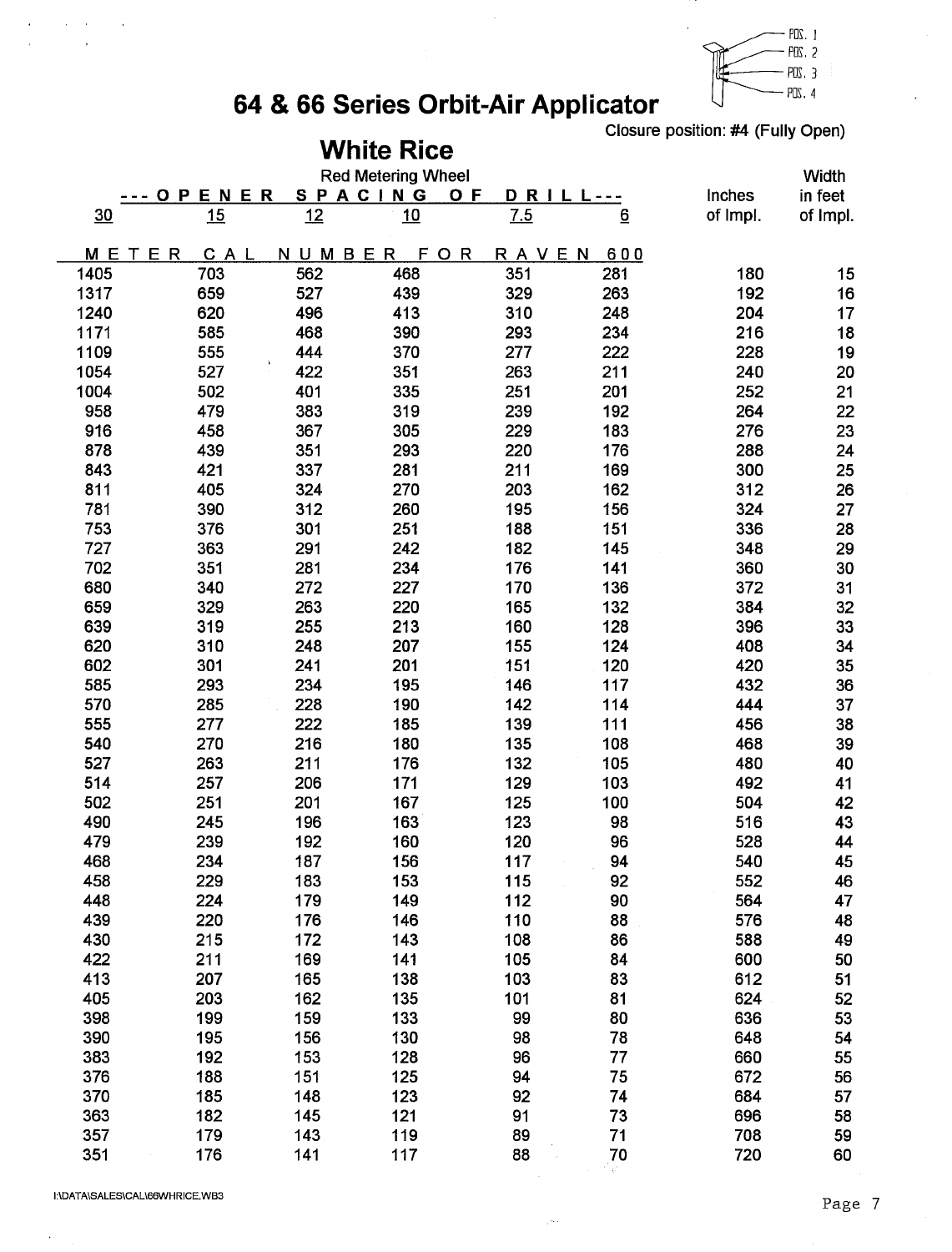

## 64 & 66 Series Orbit-Air Applicator

Closure position: #4 (Fully Open)

|            |                |            | <b>White Rice</b>         |            |                 |            |          |
|------------|----------------|------------|---------------------------|------------|-----------------|------------|----------|
|            |                |            | <b>Red Metering Wheel</b> |            |                 |            | Width    |
|            | ENER<br>P<br>O |            | SPACING                   | O F<br>DRI |                 | Inches     | in feet  |
| 30         | 15             | 12         | 10                        | 7.5        | $\underline{6}$ | of Impl.   | of Impl. |
| <b>MET</b> | ER<br>CAL      | NUMBER     | F<br>OR                   | RAVEN      | 600             |            |          |
| 1405       | 703            | 562        | 468                       | 351        | 281             | 180        | 15       |
| 1317       | 659            | 527        | 439                       | 329        | 263             | 192        | 16       |
| 1240       | 620            | 496        | 413                       | 310        | 248             | 204        | 17       |
| 1171       | 585            | 468        | 390                       | 293        | 234             | 216        | 18       |
| 1109       | 555            | 444        | 370                       | 277        | 222             | 228        | 19       |
| 1054       | 527            | 422        | 351                       | 263        | 211             | 240        | 20       |
| 1004       | 502            | 401        | 335                       | 251        | 201             | 252        | 21       |
| 958        | 479            | 383        | 319                       | 239        | 192             | 264        | 22       |
| 916        | 458            | 367        | 305                       | 229        | 183             | 276        | 23       |
| 878        | 439            | 351        | 293                       | 220        | 176             | 288        | 24       |
| 843        | 421            | 337        | 281                       | 211        | 169             | 300        | 25       |
| 811        | 405            | 324        | 270                       | 203        | 162             | 312        | 26       |
| 781        | 390            | 312        | 260                       | 195        | 156             | 324        | 27       |
| 753        | 376            | 301        | 251                       | 188        | 151             | 336        | 28       |
| 727        | 363            | 291        | 242                       | 182        | 145             | 348        | 29       |
| 702        | 351            | 281        | 234                       | 176        | 141             | 360        | 30       |
| 680        | 340            | 272        | 227                       | 170        | 136             | 372        | 31       |
| 659        | 329            | 263        | 220                       | 165        | 132             | 384        | 32       |
| 639        | 319            | 255        | 213                       | 160        | 128             | 396        | 33       |
| 620        | 310            | 248        | 207                       | 155        | 124             | 408        | 34       |
| 602        | 301            | 241        | 201                       | 151        | 120             | 420        | 35       |
| 585        | 293            | 234        | 195                       | 146        | 117             | 432        | 36       |
| 570        | 285            | 228        | 190                       | 142        | 114             | 444        | 37       |
| 555        | 277            | 222        | 185                       | 139        | 111             | 456        | 38       |
| 540        | 270            | 216        | 180                       | 135        | 108             | 468        | 39       |
| 527        | 263            | 211        | 176                       | 132        | 105             | 480        | 40       |
| 514        | 257            | 206        | 171                       | 129        | 103             | 492        | 41       |
| 502        | 251            | 201        | 167                       | 125        | 100             | 504        | 42       |
| 490        | 245            | 196        | 163                       | 123        | 98              | 516        | 43       |
| 479        | 239            | 192        | 160                       | 120        | 96              | 528        | 44       |
| 468        | 234            | 187        | 156                       | 117        | 94              | 540        | 45       |
| 458<br>448 | 229<br>224     | 183<br>179 | 153<br>149                | 115<br>112 | 92<br>90        | 552<br>564 | 46<br>47 |
| 439        | 220            | 176        | 146                       | 110        | 88              | 576        | 48       |
| 430        | 215            | 172        | 143                       | 108        | 86              | 588        | 49       |
| 422        | 211            | 169        | 141                       | 105        | 84              | 600        | 50       |
| 413        | 207            | 165        | 138                       | 103        | 83              | 612        | 51       |
| 405        | 203            | 162        | 135                       | 101        | 81              | 624        | 52       |
| 398        | 199            | 159        | 133                       | 99         | 80              | 636        | 53       |
| 390        | 195            | 156        | 130                       | 98         | 78              | 648        | 54       |
| 383        | 192            | 153        | 128                       | 96         | 77              | 660        | 55       |
| 376        | 188            | 151        | 125                       | 94         | 75              | 672        | 56       |
| 370        | 185            | 148        | 123                       | 92         | 74              | 684        | 57       |
| 363        | 182            | 145        | 121                       | 91         | 73              | 696        | 58       |
| 357        | 179            | 143        | 119                       | 89         | 71              | 708        | 59       |
| 351        | 176            | 141        | 117                       | 88         | 70              | 720        | 60       |
|            |                |            |                           |            |                 |            |          |

لتعار

 $\hat{\boldsymbol{\epsilon}}$ 

 $\alpha$  is  $\alpha$  .

 $\mathcal{A}$ 

 $\bar{\ell}$ 

 $\lambda$ 

 $\overline{1}$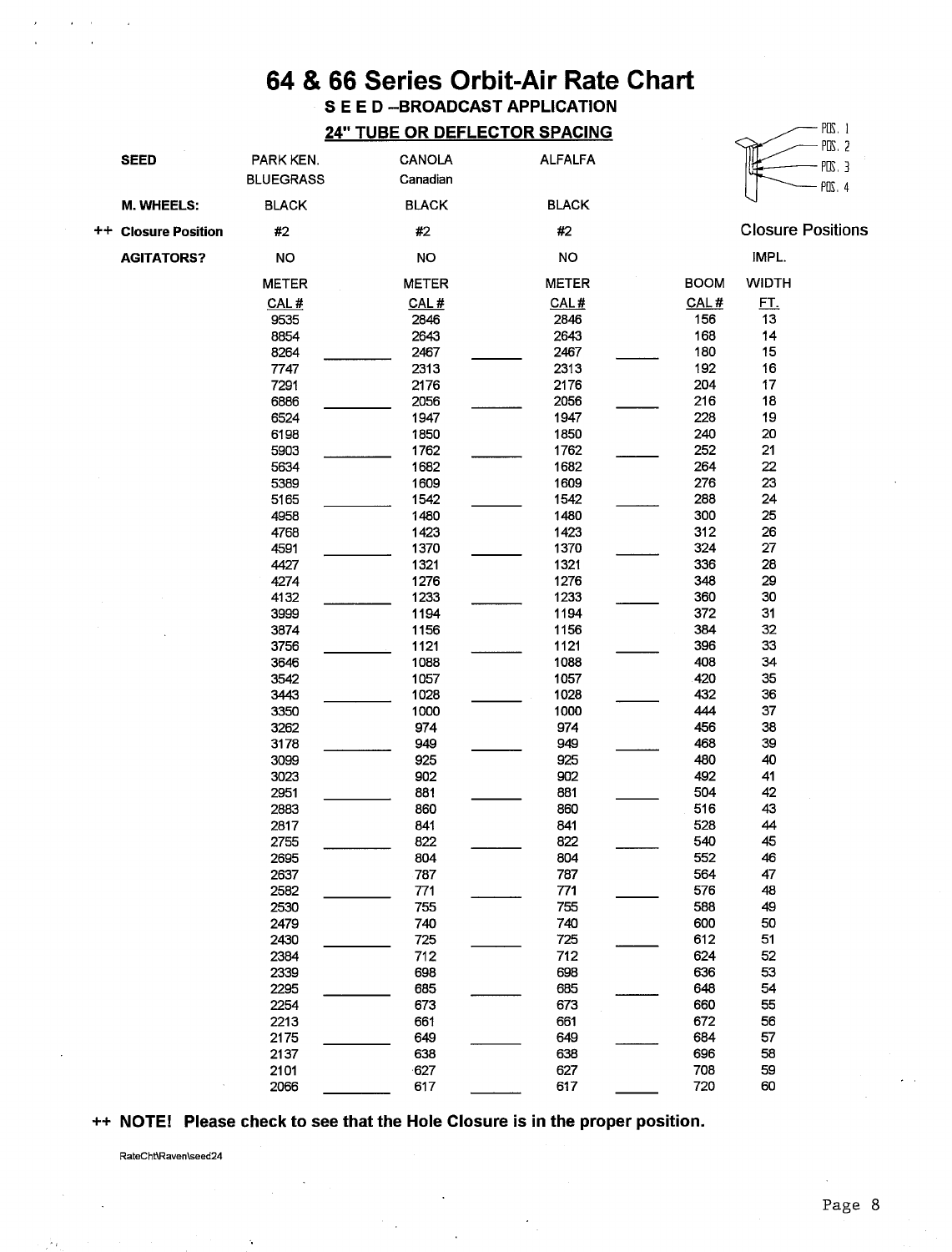### **SEED-BROADCAST APPLICATION 24" TUBE OR DEFLECTOR SPACING**

| <b>SEED</b>         | PARK KEN.<br><b>BLUEGRASS</b> | CANOLA<br>Canadian | <b>ALFALFA</b> |             |              | rus, z<br>$PUS.$ 3<br>POS.4 |
|---------------------|-------------------------------|--------------------|----------------|-------------|--------------|-----------------------------|
| M. WHEELS:          | <b>BLACK</b>                  | <b>BLACK</b>       | <b>BLACK</b>   |             |              |                             |
| ++ Closure Position | #2                            | #2                 | #2             |             |              | <b>Closure Positions</b>    |
| <b>AGITATORS?</b>   | NO                            | NO                 | NO             |             | IMPL.        |                             |
|                     | <b>METER</b>                  | <b>METER</b>       | <b>METER</b>   | <b>BOOM</b> | <b>WIDTH</b> |                             |
|                     | CAL#                          | CAL#               | CAL#           | CAL#        | <u>FT.</u>   |                             |
|                     | 9535                          | 2846               | 2846           | 156         | 13           |                             |
|                     | 8854                          | 2643               | 2643           | 168         | 14           |                             |
|                     | 8264                          | 2467               | 2467           | 180         | 15           |                             |
|                     | 7747                          | 2313               | 2313           | 192         | 16           |                             |
|                     | 7291                          | 2176               | 2176           | 204         | $17\,$       |                             |
|                     | 6886                          | 2056               | 2056           | 216         | 18           |                             |
|                     | 6524                          | 1947               | 1947           | 228         | 19           |                             |
|                     |                               |                    |                |             |              |                             |
|                     | 6198                          | 1850               | 1850           | 240         | 20           |                             |
|                     | 5903                          | 1762               | 1762           | 252         | 21           |                             |
|                     | 5634                          | 1682               | 1682           | 264         | 22           |                             |
|                     | 5389                          | 1609               | 1609           | 276         | 23           |                             |
|                     | 5165                          | 1542               | 1542           | 288         | 24           |                             |
|                     | 4958                          | 1480               | 1480           | 300         | 25           |                             |
|                     | 4768                          | 1423               | 1423           | 312         | 26           |                             |
|                     | 4591                          | 1370               | 1370           | 324         | 27           |                             |
|                     | 4427                          | 1321               | 1321           | 336         | 28           |                             |
|                     | 4274                          | 1276               | 1276           | 348         | 29           |                             |
|                     | 4132                          | 1233               | 1233           | 360         | 30           |                             |
|                     | 3999                          | 1194               | 1194           | 372         | 31           |                             |
|                     | 3874                          | 1156               | 1156           | 384         | 32           |                             |
|                     | 3756                          | 1121               | 1121           | 396         | 33           |                             |
|                     | 3646                          | 1088               | 1088           | 408         | 34           |                             |
|                     | 3542                          | 1057               | 1057           | 420         | 35           |                             |
|                     | 3443                          | 1028               | 1028           | 432         | 36           |                             |
|                     | 3350                          | 1000               | 1000           | 444         | 37           |                             |
|                     | 3262                          | 974                | 974            | 456         | 38           |                             |
|                     | 3178                          | 949                | 949            | 468         | 39           |                             |
|                     | 3099                          | 925                | 925            | 480         | 40           |                             |
|                     | 3023                          | 902                | 902            | 492         | 41           |                             |
|                     | 2951                          | 881                | 881            | 504         | 42           |                             |
|                     | 2883                          | 860                | 860            | 516         | 43           |                             |
|                     | 2817                          | 841                | 841            | 528         | 44           |                             |
|                     | 2755                          | 822                | 822            | 540         | 45           |                             |
|                     | 2695                          | 804                | 804            | 552         | 46           |                             |
|                     | 2637                          | 787                | 787            | 564         | 47           |                             |
|                     | 2582                          | 771                | 771            | 576         | 48           |                             |
|                     | 2530                          | 755                | 755            | 588         | 49           |                             |
|                     | 2479                          | 740                | 740            | 600         | 50           |                             |
|                     | 2430                          | 725                | 725            | 612         | 51           |                             |
|                     | 2384                          | 712                | 712            | 624         | 52           |                             |
|                     | 2339                          | 698                | 698            | 636         | 53           |                             |
|                     |                               |                    | 685            | 648         | 54           |                             |
|                     | 2295                          | 685                |                |             |              |                             |
|                     | 2254                          | 673                | 673            | 660         | 55           |                             |
|                     | 2213                          | 661                | 661            | 672         | 56           |                             |
|                     | 2175                          | 649                | 649            | 684         | 57           |                             |
|                     | 2137                          | 638                | 638            | 696         | 58           |                             |
|                     | 2101                          | $-627$             | 627            | 708         | 59           |                             |
|                     | 2066                          | 617                | 617            | 720         | 60           |                             |

#### ++ NOTE! Please check to see that the Hole Closure is in the proper position.

 $\bar{z}$ 

RateCht\Raven\seed24

 $PDS.1$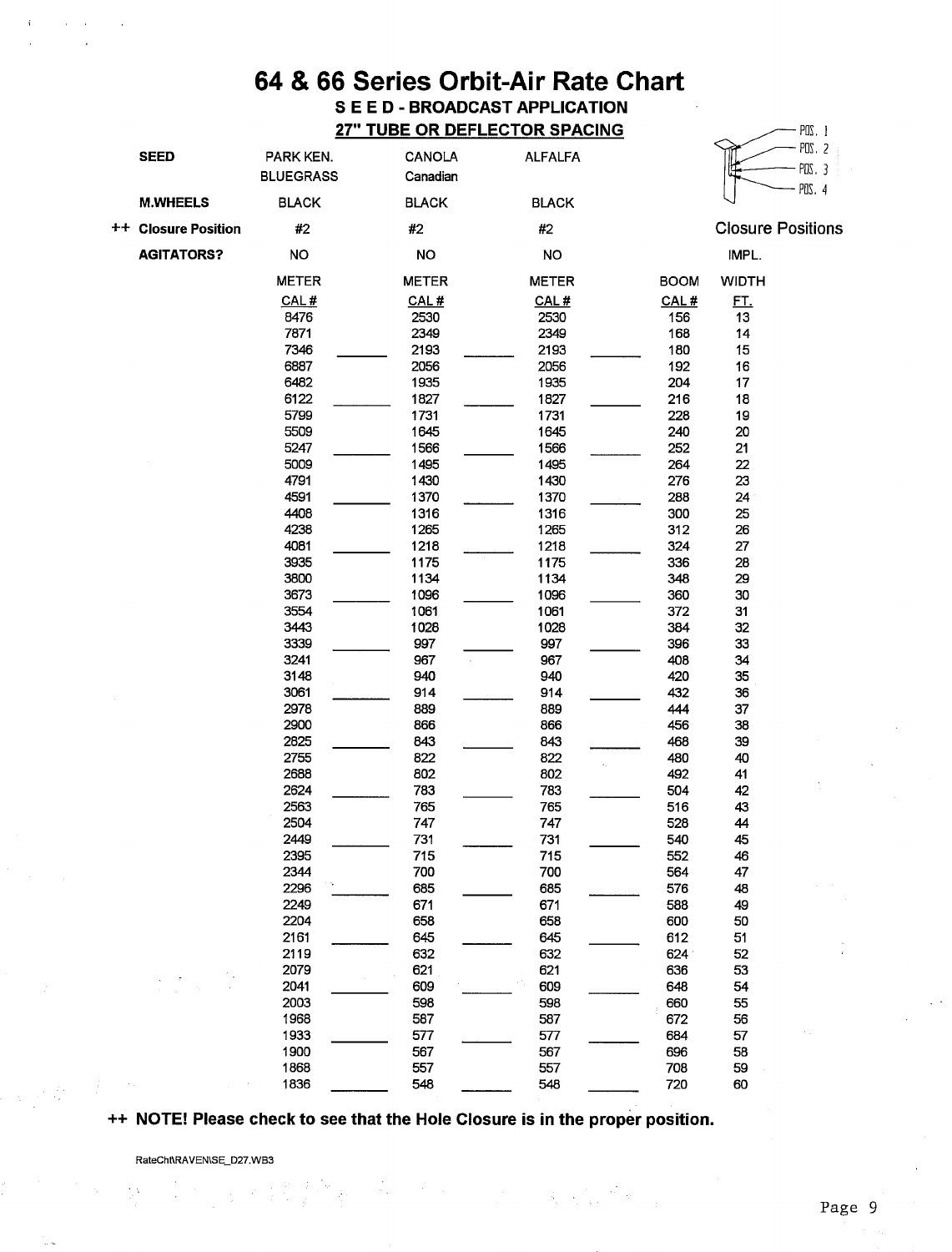### 64 & 66 Series Orbit-Air Rate Chart **SEED-BROADCAST APPLICATION 27" TUBE OR DEFLECTOR SPACING**

|             | <b>SEED</b>             | PARK KEN.<br><b>BLUEGRASS</b> | CANOLA<br>Canadian | <b>ALFALFA</b> |             |                          | POS. 2<br>$PDS.$ 3<br>POS. 4 |
|-------------|-------------------------|-------------------------------|--------------------|----------------|-------------|--------------------------|------------------------------|
|             | <b>M.WHEELS</b>         | <b>BLACK</b>                  | <b>BLACK</b>       | <b>BLACK</b>   |             |                          |                              |
| $^{\rm ++}$ | <b>Closure Position</b> | #2                            | #2                 | $\#2$          |             | <b>Closure Positions</b> |                              |
|             | <b>AGITATORS?</b>       | NO                            | <b>NO</b>          | <b>NO</b>      |             | IMPL.                    |                              |
|             |                         | <b>METER</b>                  | <b>METER</b>       | <b>METER</b>   | <b>BOOM</b> | <b>WIDTH</b>             |                              |
|             |                         | CAL#                          | CAL#               | CAL#           | CAL#        | <u>FT.</u>               |                              |
|             |                         | 8476                          | 2530               | 2530           | 156         | 13                       |                              |
|             |                         | 7871                          | 2349               | 2349           | 168         | 14                       |                              |
|             |                         | 7346                          | 2193               | 2193           | 180         | 15                       |                              |
|             |                         | 6887                          | 2056               | 2056           | 192         | 16                       |                              |
|             |                         | 6482                          | 1935               | 1935           | 204         | 17                       |                              |
|             |                         | 6122                          | 1827               | 1827           | 216         | 18                       |                              |
|             |                         | 5799                          | 1731               | 1731           | 228         | 19                       |                              |
|             |                         | 5509                          | 1645               | 1645           | 240         | 20                       |                              |
|             |                         | 5247                          | 1566               | 1566           | 252         | 21                       |                              |
|             |                         | 5009                          | 1495               | 1495           | 264         | 22                       |                              |
|             |                         | 4791                          | 1430               | 1430           | 276         | 23                       |                              |
|             |                         | 4591                          | 1370               | 1370           | 288         | 24                       |                              |
|             |                         | 4408                          | 1316               | 1316           | 300         | 25                       |                              |
|             |                         | 4238                          | 1265               | 1265           | 312         | 26                       |                              |
|             |                         | 4081                          | 1218               | 1218           | 324         | 27                       |                              |
|             |                         | 3935                          | 1175               | 1175           | 336         | 28                       |                              |
|             |                         | 3800                          | 1134               | 1134           | 348         | 29                       |                              |
|             |                         | 3673                          | 1096               | 1096           | 360         | 30                       |                              |
|             |                         | 3554                          | 1061               | 1061           | 372         | 31                       |                              |
|             |                         | 3443                          | 1028               | 1028           | 384         | 32                       |                              |
|             |                         | 3339                          | 997                | 997            | 396         | 33                       |                              |
|             |                         | 3241                          | 967                | 967            | 408         | 34                       |                              |
|             |                         | 3148                          | 940                | 940            | 420         | 35                       |                              |
|             |                         | 3061                          | 914                | 914            | 432         | 36                       |                              |
|             |                         | 2978                          | 889                | 889            | 444         | 37                       |                              |
|             |                         | 2900                          | 866                | 866            | 456         | 38                       |                              |
|             |                         | 2825                          | 843                | 843            | 468         | 39                       |                              |
|             |                         | 2755                          | 822                | 822            | 480         | 40                       |                              |
|             |                         | 2688                          | 802                | 802            | 492         | 41                       |                              |
|             |                         | 2624                          | 783                | 783            | 504         | 42                       |                              |
|             |                         | 2563                          | 765                | 765            | 516         | 43                       |                              |
|             |                         | 2504                          | 747                | 747            | 528         | 44                       |                              |
|             |                         | 2449                          | 731                | 731            | 540         | 45                       |                              |
|             |                         | 2395                          | 715                | 715            | 552         | 46                       |                              |
|             |                         | 2344                          | 700                | 700            | 564         | 47                       |                              |
|             |                         | 2296                          | 685                | 685            | 576         | 48                       |                              |
|             |                         | 2249                          | 671                | 671            | 588         | 49                       |                              |
|             |                         | 2204                          | 658                | 658            | 600         | 50                       |                              |
|             |                         | 2161                          | 645                | 645            | 612         | 51                       |                              |
|             |                         | 2119                          | 632                | 632            | 624         | 52                       |                              |
|             |                         | 2079                          | 621                | 621            | 636         | 53                       |                              |
|             |                         | 2041                          | 609                | 609            | 648         | 54                       |                              |
|             |                         | 2003                          | 598                | 598            | 660         | 55                       |                              |
|             |                         | 1968                          | 587                | 587            | 672         | 56                       |                              |
|             |                         | 1933                          | 577                | 577            | 684         | 57                       |                              |
|             |                         | 1900                          | 567                | 567            | 696         | 58                       |                              |
|             |                         | 1868                          | 557                | 557            | 708         | 59                       |                              |
|             |                         | 1836                          | 548                | 548            | 720         | 60                       |                              |

++ NOTE! Please check to see that the Hole Closure is in the proper position.

**美国的一个人** 

RateCht\RAVEN\SE\_D27.WB3

(1) 的复数精神的人物

 $-$  POS. 1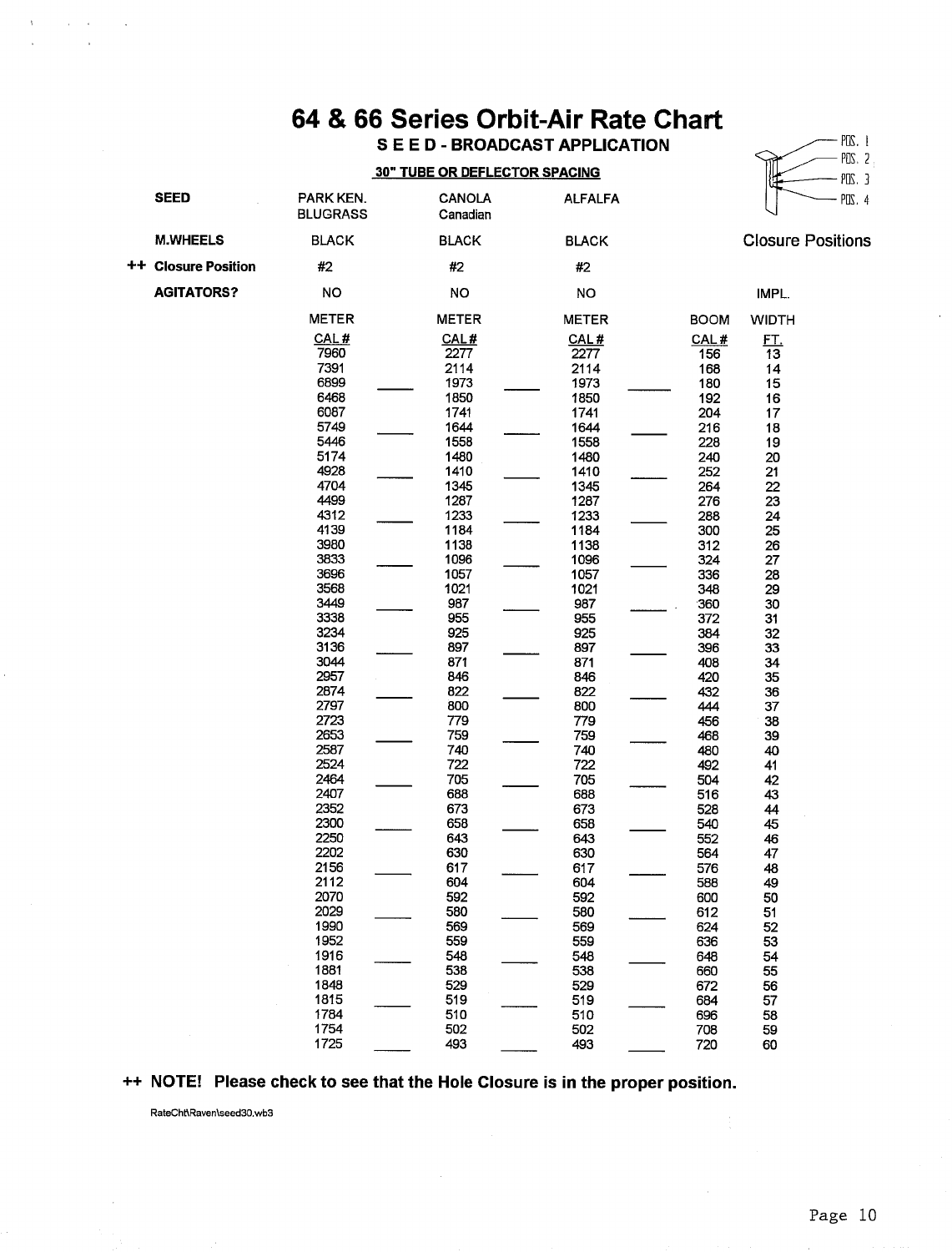S E E D - BROADCAST APPLICATION

#### **30" TUBE OR DEFLECTOR SPACING**

|                         |                                                                                                                                                                                                                                                                                                                                                      | <b>30" TUBE OR DEFLECTOR SPACING</b>                                                                                                                                                                                                                                                                                        |                                                                                                                                                                                                                                                                                                                             |                                                                                                                                                                                                                                                                                                            |                                                                                                                                                                                                                                                                        | $PUS.$ 3 |
|-------------------------|------------------------------------------------------------------------------------------------------------------------------------------------------------------------------------------------------------------------------------------------------------------------------------------------------------------------------------------------------|-----------------------------------------------------------------------------------------------------------------------------------------------------------------------------------------------------------------------------------------------------------------------------------------------------------------------------|-----------------------------------------------------------------------------------------------------------------------------------------------------------------------------------------------------------------------------------------------------------------------------------------------------------------------------|------------------------------------------------------------------------------------------------------------------------------------------------------------------------------------------------------------------------------------------------------------------------------------------------------------|------------------------------------------------------------------------------------------------------------------------------------------------------------------------------------------------------------------------------------------------------------------------|----------|
| SEED                    | PARK KEN.<br><b>BLUGRASS</b>                                                                                                                                                                                                                                                                                                                         | <b>CANOLA</b><br>Canadian                                                                                                                                                                                                                                                                                                   | <b>ALFALFA</b>                                                                                                                                                                                                                                                                                                              |                                                                                                                                                                                                                                                                                                            |                                                                                                                                                                                                                                                                        | POS. 4   |
| <b>M.WHEELS</b>         | <b>BLACK</b>                                                                                                                                                                                                                                                                                                                                         | <b>BLACK</b>                                                                                                                                                                                                                                                                                                                | <b>BLACK</b>                                                                                                                                                                                                                                                                                                                |                                                                                                                                                                                                                                                                                                            | <b>Closure Positions</b>                                                                                                                                                                                                                                               |          |
| <b>Closure Position</b> | #2                                                                                                                                                                                                                                                                                                                                                   | #2                                                                                                                                                                                                                                                                                                                          | #2                                                                                                                                                                                                                                                                                                                          |                                                                                                                                                                                                                                                                                                            |                                                                                                                                                                                                                                                                        |          |
| <b>AGITATORS?</b>       | <b>NO</b>                                                                                                                                                                                                                                                                                                                                            | NO                                                                                                                                                                                                                                                                                                                          | NO                                                                                                                                                                                                                                                                                                                          |                                                                                                                                                                                                                                                                                                            | IMPL.                                                                                                                                                                                                                                                                  |          |
|                         | METER                                                                                                                                                                                                                                                                                                                                                | <b>METER</b>                                                                                                                                                                                                                                                                                                                | <b>METER</b>                                                                                                                                                                                                                                                                                                                | <b>BOOM</b>                                                                                                                                                                                                                                                                                                | <b>WIDTH</b>                                                                                                                                                                                                                                                           |          |
|                         | CAL#<br>7960<br>7391<br>6899<br>6468<br>6087<br>5749<br>5446<br>5174<br>4928<br>4704<br>4499<br>4312<br>4139<br>3980<br>3833<br>3696<br>3568<br>3449<br>3338<br>3234<br>3136<br>3044<br>2957<br>2874<br>2797<br>2723<br>2653<br>2587<br>2524<br>2464<br>2407<br>2352<br>2300<br>2250<br>2202<br>2156<br>2112<br>2070<br>2029<br>1990<br>1952<br>1916 | CAL#<br>2277<br>2114<br>1973<br>1850<br>1741<br>1644<br>1558<br>1480<br>1410<br>1345<br>1287<br>1233<br>1184<br>1138<br>1096<br>1057<br>1021<br>987<br>955<br>925<br>897<br>871<br>846<br>822<br>800<br>779<br>759<br>740<br>722<br>705<br>688<br>673<br>658<br>643<br>630<br>617<br>604<br>592<br>580<br>569<br>559<br>548 | CAL#<br>2277<br>2114<br>1973<br>1850<br>1741<br>1644<br>1558<br>1480<br>1410<br>1345<br>1287<br>1233<br>1184<br>1138<br>1096<br>1057<br>1021<br>987<br>955<br>925<br>897<br>871<br>846<br>822<br>800<br>779<br>759<br>740<br>722<br>705<br>688<br>673<br>658<br>643<br>630<br>617<br>604<br>592<br>580<br>569<br>559<br>548 | CAL#<br>156<br>168<br>180<br>192<br>204<br>216<br>228<br>240<br>252<br>264<br>276<br>288<br>300<br>312<br>324<br>336<br>348<br>360<br>372<br>384<br>396<br>408<br>420<br>432<br>444<br>456<br>468<br>480<br>492<br>504<br>516<br>528<br>540<br>552<br>564<br>576<br>588<br>600<br>612<br>624<br>636<br>648 | <u>ЕТ.</u><br>13<br>14<br>15<br>16<br>17<br>18<br>19<br>20<br>21<br>22<br>23<br>24<br>25<br>26<br>27<br>28<br>29<br>30<br>31<br>32<br>33<br>34<br>35<br>36<br>37<br>38<br>39<br>40<br>41<br>42<br>43<br>44<br>45<br>46<br>47<br>48<br>49<br>50<br>51<br>52<br>53<br>54 |          |
|                         | 1881<br>1848                                                                                                                                                                                                                                                                                                                                         | 538<br>529                                                                                                                                                                                                                                                                                                                  | 538<br>529                                                                                                                                                                                                                                                                                                                  | 660<br>672                                                                                                                                                                                                                                                                                                 | 55<br>56                                                                                                                                                                                                                                                               |          |
|                         | 1815                                                                                                                                                                                                                                                                                                                                                 | 519                                                                                                                                                                                                                                                                                                                         | 519                                                                                                                                                                                                                                                                                                                         | 684                                                                                                                                                                                                                                                                                                        | 57                                                                                                                                                                                                                                                                     |          |
|                         | 1784<br>1754                                                                                                                                                                                                                                                                                                                                         | 510<br>502                                                                                                                                                                                                                                                                                                                  | 510<br>502                                                                                                                                                                                                                                                                                                                  | 696<br>708                                                                                                                                                                                                                                                                                                 | 58<br>59                                                                                                                                                                                                                                                               |          |
|                         | 1725                                                                                                                                                                                                                                                                                                                                                 | 493                                                                                                                                                                                                                                                                                                                         | 493                                                                                                                                                                                                                                                                                                                         | 720                                                                                                                                                                                                                                                                                                        | 60                                                                                                                                                                                                                                                                     |          |

### ++ NOTE! Please check to see that the Hole Closure is in the proper position.

RateCht\Raven\seed30.wb3

 $\Lambda$  .

 $\sim 10^{-10}$  km

 $\sim$ 

 $++$ 

 $PIS.$  1

 $PUS. 2$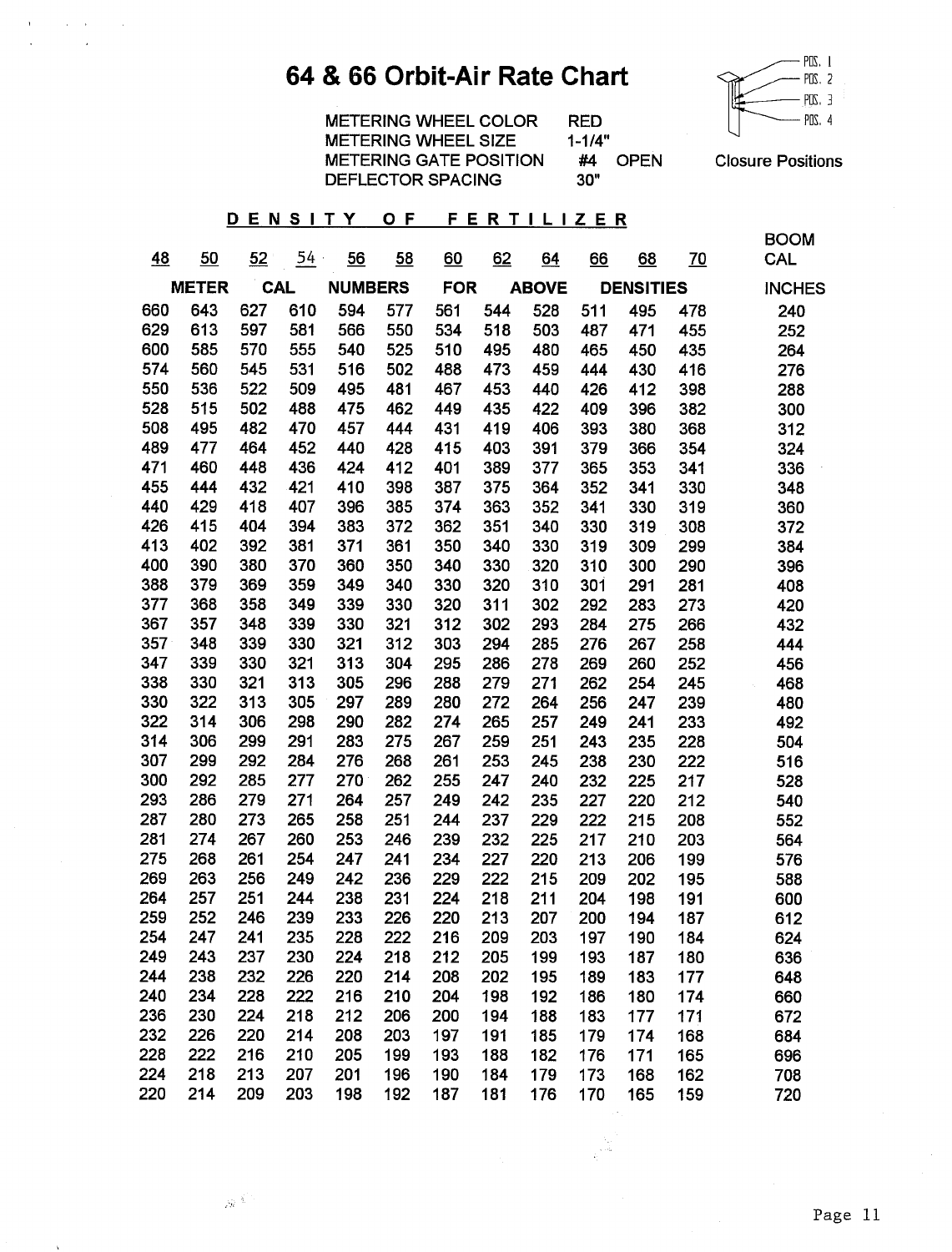## 64 & 66 Orbit-Air Rate Chart



**METERING WHEEL COLOR RED METERING WHEEL SIZE**  $1 - 1/4"$ **METERING GATE POSITION** #4 OPEN DEFLECTOR SPACING  $30"$ 

**Closure Positions** 

#### DENSITY OF FERTILIZER

 $\mathbf{E}(\mathbf{r})$  and  $\mathbf{r}$  are  $\mathbf{r}$  and  $\mathbf{r}$  $\sim 10^{11}$  km

 $\bar{\lambda}$ 

|           |              |     |            |                |     |            |     |              |           |                  |           | <b>BOOM</b>   |
|-----------|--------------|-----|------------|----------------|-----|------------|-----|--------------|-----------|------------------|-----------|---------------|
| <u>48</u> | 50           | 52  | $54 -$     | 56             | 58  | 60         | 62  | 64           | <u>66</u> | 68               | <u>70</u> | CAL           |
|           | <b>METER</b> |     | <b>CAL</b> | <b>NUMBERS</b> |     | <b>FOR</b> |     | <b>ABOVE</b> |           | <b>DENSITIES</b> |           | <b>INCHES</b> |
| 660       | 643          | 627 | 610        | 594            | 577 | 561        | 544 | 528          | 511       | 495              | 478       | 240           |
| 629       | 613          | 597 | 581        | 566            | 550 | 534        | 518 | 503          | 487       | 471              | 455       | 252           |
| 600       | 585          | 570 | 555        | 540            | 525 | 510        | 495 | 480          | 465       | 450              | 435       | 264           |
| 574       | 560          | 545 | 531        | 516            | 502 | 488        | 473 | 459          | 444       | 430              | 416       | 276           |
| 550       | 536          | 522 | 509        | 495            | 481 | 467        | 453 | 440          | 426       | 412              | 398       | 288           |
| 528       | 515          | 502 | 488        | 475            | 462 | 449        | 435 | 422          | 409       | 396              | 382       | 300           |
| 508       | 495          | 482 | 470        | 457            | 444 | 431        | 419 | 406          | 393       | 380              | 368       | 312           |
| 489       | 477          | 464 | 452        | 440            | 428 | 415        | 403 | 391          | 379       | 366              | 354       | 324           |
| 471       | 460          | 448 | 436        | 424            | 412 | 401        | 389 | 377          | 365       | 353              | 341       | 336           |
| 455       | 444          | 432 | 421        | 410            | 398 | 387        | 375 | 364          | 352       | 341              | 330       | 348           |
| 440       | 429          | 418 | 407        | 396            | 385 | 374        | 363 | 352          | 341       | 330              | 319       | 360           |
| 426       | 415          | 404 | 394        | 383            | 372 | 362        | 351 | 340          | 330       | 319              | 308       | 372           |
| 413       | 402          | 392 | 381        | 371            | 361 | 350        | 340 | 330          | 319       | 309              | 299       | 384           |
| 400       | 390          | 380 | 370        | 360            | 350 | 340        | 330 | 320          | 310       | 300              | 290       | 396           |
| 388       | 379          | 369 | 359        | 349            | 340 | 330        | 320 | 310          | 301       | 291              | 281       | 408           |
| 377       | 368          | 358 | 349        | 339            | 330 | 320        | 311 | 302          | 292       | 283              | 273       | 420           |
| 367       | 357          | 348 | 339        | 330            | 321 | 312        | 302 | 293          | 284       | 275              | 266       | 432           |
| 357       | 348          | 339 | 330        | 321            | 312 | 303        | 294 | 285          | 276       | 267              | 258       | 444           |
| 347       | 339          | 330 | 321        | 313            | 304 | 295        | 286 | 278          | 269       | 260              | 252       | 456           |
| 338       | 330          | 321 | 313        | 305            | 296 | 288        | 279 | 271          | 262       | 254              | 245       | 468           |
| 330       | 322          | 313 | 305        | 297            | 289 | 280        | 272 | 264          | 256       | 247              | 239       | 480           |
| 322       | 314          | 306 | 298        | 290            | 282 | 274        | 265 | 257          | 249       | 241              | 233       | 492           |
| 314       | 306          | 299 | 291        | 283            | 275 | 267        | 259 | 251          | 243       | 235              | 228       | 504           |
| 307       | 299          | 292 | 284        | 276            | 268 | 261        | 253 | 245          | 238       | 230              | 222       | 516           |
| 300       | 292          | 285 | 277        | 270            | 262 | 255        | 247 | 240          | 232       | 225              | 217       | 528           |
| 293       | 286          | 279 | 271        | 264            | 257 | 249        | 242 | 235          | 227       | 220              | 212       | 540           |
| 287       | 280          | 273 | 265        | 258            | 251 | 244        | 237 | 229          | 222       | 215              | 208       | 552           |
| 281       | 274          | 267 | 260        | 253            | 246 | 239        | 232 | 225          | 217       | 210              | 203       | 564           |
| 275       | 268          | 261 | 254        | 247            | 241 | 234        | 227 | 220          | 213       | 206              | 199       | 576           |
| 269       | 263          | 256 | 249        | 242            | 236 | 229        | 222 | 215          | 209       | 202              | 195       | 588           |
| 264       | 257          | 251 | 244        | 238            | 231 | 224        | 218 | 211          | 204       | 198              | 191       | 600           |
| 259       | 252          | 246 | 239        | 233            | 226 | 220        | 213 | 207          | 200       | 194              | 187       | 612           |
| 254       | 247          | 241 | 235        | 228            | 222 | 216        | 209 | 203          | 197       | 190              | 184       | 624           |
| 249       | 243          | 237 | 230        | 224            | 218 | 212        | 205 | 199          | 193       | 187              | 180       | 636           |
| 244       | 238          | 232 | 226        | 220            | 214 | 208        | 202 | 195          | 189       | 183              | 177       | 648           |
| 240       | 234          | 228 | 222        | 216            | 210 | 204        | 198 | 192          | 186       | 180              | 174       | 660           |
| 236       | 230          | 224 | 218        | 212            | 206 | 200        | 194 | 188          | 183       | 177              | 171       | 672           |
| 232       | 226          | 220 | 214        | 208            | 203 | 197        | 191 | 185          | 179       | 174              | 168       | 684           |
| 228       | 222          | 216 | 210        | 205            | 199 | 193        | 188 | 182          | 176       | 171              | 165       | 696           |
| 224       | 218          | 213 | 207        | 201            | 196 | 190        | 184 | 179          | 173       | 168              | 162       | 708           |
| 220       | 214          | 209 | 203        | 198            | 192 | 187        | 181 | 176          | 170       | 165              | 159       | 720           |

 $\hat{m}^{(k')}$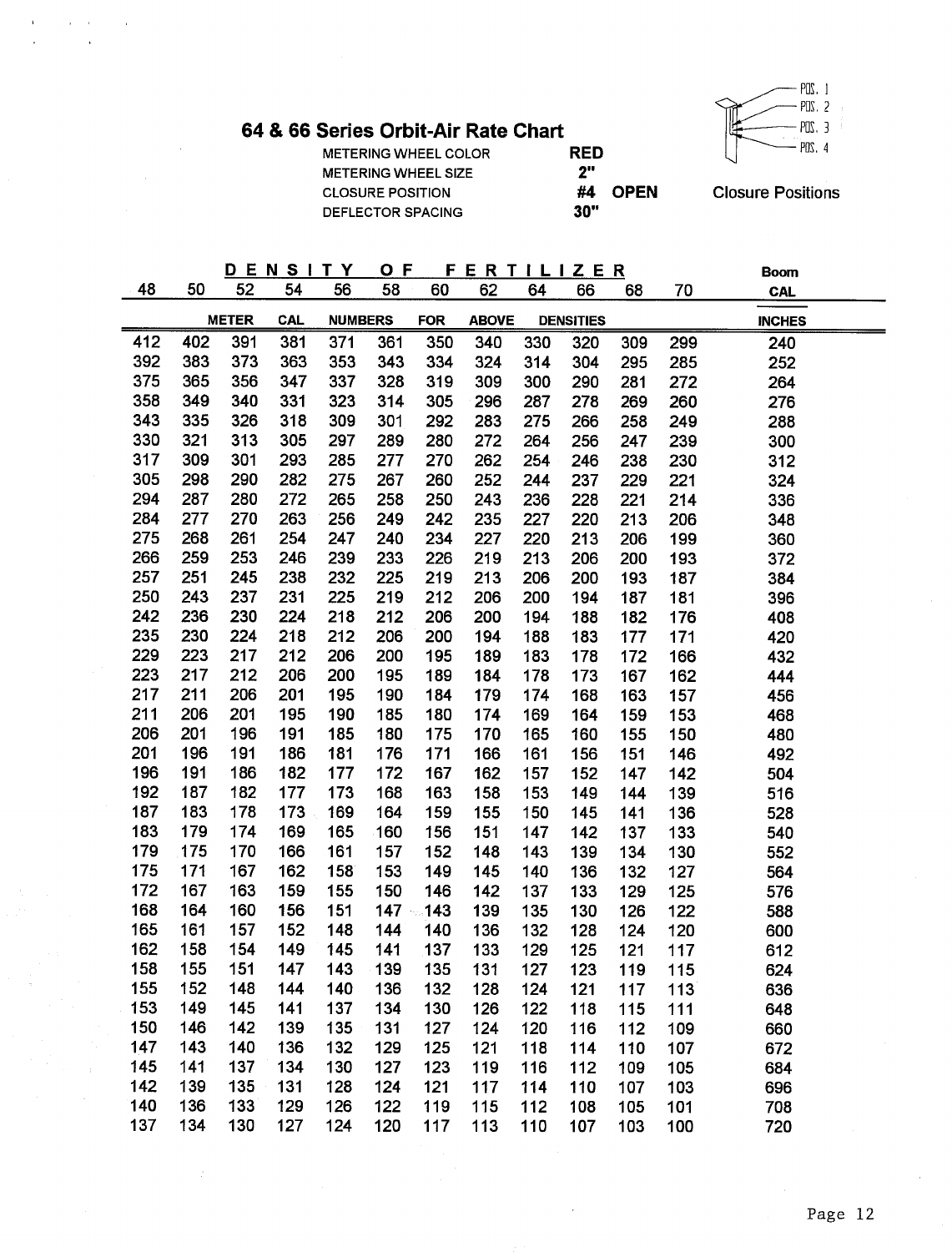

64 & 66 Series Orbit-Air Rate Chart

 $\alpha = \alpha$ 

 $\ddot{\phantom{1}}$ 

 $\sim$ 

 $\sim$ 

J.

METERING WHEEL COLOR METERING WHEEL SIZE **CLOSURE POSITION** DEFLECTOR SPACING

**RED**  $2"$ #4 OPEN  $30"$ 

**Closure Positions** 

**Boom** 

|     | ----- |     | R |     |  |     | $\overline{\phantom{a}}$ |  | -- | . . |  | . . | $\sim$<br>-------------- |  |
|-----|-------|-----|---|-----|--|-----|--------------------------|--|----|-----|--|-----|--------------------------|--|
| --- |       | ___ |   | ___ |  | ___ |                          |  |    |     |  |     |                          |  |

| 48         | 50         | 52           | 54         | 56             | 58         | 60          | 62           | 64         | 66               | 68         | 70          | <b>CAL</b>    |
|------------|------------|--------------|------------|----------------|------------|-------------|--------------|------------|------------------|------------|-------------|---------------|
|            |            | <b>METER</b> | <b>CAL</b> | <b>NUMBERS</b> |            | <b>FOR</b>  | <b>ABOVE</b> |            | <b>DENSITIES</b> |            |             | <b>INCHES</b> |
| 412        | 402        | 391          | 381        | 371            | 361        | 350         | 340          | 330        | 320              | 309        | 299         | 240           |
| 392        | 383        | 373          | 363        | 353            | 343        | 334         | 324          | 314        | 304              | 295        | 285         | 252           |
| 375        | 365        | 356          | 347        | 337            | 328        | 319         | 309          | 300        | 290              | 281        | 272         | 264           |
| 358        | 349        | 340          | 331        | 323            | 314        | 305         | 296          | 287        | 278              | 269        | 260         | 276           |
| 343        | 335        | 326          | 318        | 309            | 301        | 292         | 283          | 275        | 266              | 258        | 249         | 288           |
| 330        | 321        | 313          | 305        | 297            | 289        | 280         | 272          | 264        | 256              | 247        | 239         | 300           |
| 317        | 309        | 301          | 293        | 285            | 277        | 270         | 262          | 254        | 246              | 238        | 230         | 312           |
| 305        | 298        | 290          | 282        | 275            | 267        | 260         | 252          | 244        | 237              | 229        | 221         | 324           |
| 294        | 287        | 280          | 272        | 265            | 258        | 250         | 243          | 236        | 228              | 221        | 214         | 336           |
| 284        | 277        | 270          | 263        | 256            | 249        | 242         | 235          | 227        | 220              | 213        | 206         | 348           |
| 275        | 268        | 261          | 254        | 247            | 240        | 234         | 227          | 220        | 213              | 206        | 199         | 360           |
| 266        | 259        | 253          | 246        | 239            | 233        | 226         | 219          | 213        | 206              | 200        | 193         | 372           |
| 257        | 251        | 245          | 238        | 232            | 225        | 219         | 213          | 206        | 200              | 193        | 187         | 384           |
| 250        | 243        | 237          | 231        | 225            | 219        | 212         | 206          | 200        | 194              | 187        | 181         | 396           |
| 242        | 236        | 230          | 224        | 218            | 212        | 206         | 200          | 194        | 188              | 182        | 176         | 408           |
| 235        | 230        | 224          | 218        | 212            | 206        | 200         | 194          | 188        | 183              | 177        | 171         | 420           |
| 229        | 223        | 217          | 212        | 206            | 200        | 195         | 189          | 183        | 178              | 172        | 166         | 432           |
| 223        | 217        | 212          | 206        | 200            | 195        | 189         | 184          | 178        | 173              | 167        | 162         | 444           |
| 217        | 211        | 206          | 201        | 195            | 190        | 184         | 179          | 174        | 168              | 163        | 157         | 456           |
| 211        | 206        | 201          | 195        | 190            | 185        | 180         | 174          | 169        | 164              | 159        | 153         | 468           |
| 206        | 201        | 196          | 191        | 185            | 180        | 175         | 170          | 165        | 160              | 155        | 150         | 480           |
| 201        | 196        | 191          | 186        | 181            | 176        | 171         | 166          | 161        | 156              | 151        | 146         | 492           |
| 196        | 191        | 186          | 182        | 177            | 172        | 167         | 162          | 157        | 152              | 147        | 142         | 504           |
| 192        | 187        | 182          | 177        | 173            | 168        | 163         | 158          | 153        | 149              | 144        | 139         | 516           |
| 187        | 183        | 178          | 173        | 169            | 164        | 159         | 155          | 150        | 145              | 141        | 136         | 528           |
| 183        | 179        | 174          | 169        | 165            | 160        | 156         | 151          | 147        | 142              | 137        | 133         | 540           |
| 179        | 175        | 170          | 166        | 161            | 157        | 152         | 148          | 143        | 139              | 134        | 130         | 552           |
| 175        | 171        | 167          | 162        | 158            | 153        | 149         | 145          | 140        | 136              | 132        | 127         | 564           |
| 172        | 167        | 163          | 159        | 155            | 150        | 146         | 142          | 137        | 133              | 129        | 125         | 576           |
| 168        | 164        | 160          | 156        | 151            |            | $147 - 143$ | 139          | 135        | 130              | 126        | 122         | 588           |
| 165        | 161        | 157          | 152        | 148            | 144        | 140         | 136          | 132        | 128              | 124        | 120         | 600           |
| 162        | 158        | 154          | 149        | 145            | 141        | 137         | 133          | 129        | 125              | 121        | 117         | 612           |
| 158        | 155        | 151          | 147        | 143            | 139        | 135         | 131          | 127        | 123              | 119        | 115         | 624           |
| 155        | 152        | 148          | 144        | 140            | 136        | 132         | 128          | 124        | 121              | 117        | 113         | 636           |
| 153        | 149        | 145          | 141        | 137            | 134        | 130         | 126          | 122        | 118              | 115        | 111         | 648           |
| 150        | 146        | 142          | 139        | 135            | 131        | 127         | 124          | 120        | 116              | 112        | 109         | 660           |
| 147        | 143        | 140          | 136        | 132            | 129        | 125         | 121          | 118        | 114              | 110        | 107         | 672           |
| 145<br>142 | 141<br>139 | 137<br>135   | 134        | 130<br>128     | 127<br>124 | 123         | 119<br>117   | 116        | 112              | 109        | 105         | 684           |
| 140        | 136        | 133          | 131<br>129 | 126            | 122        | 121<br>119  |              | 114        | 110<br>108       | 107        | 103         | 696           |
| 137        | 134        | 130          | 127        | 124            | 120        | 117         | 115<br>113.  | 112<br>110 | 107              | 105<br>103 | 101<br>100. | 708<br>720.   |
|            |            |              |            |                |            |             |              |            |                  |            |             |               |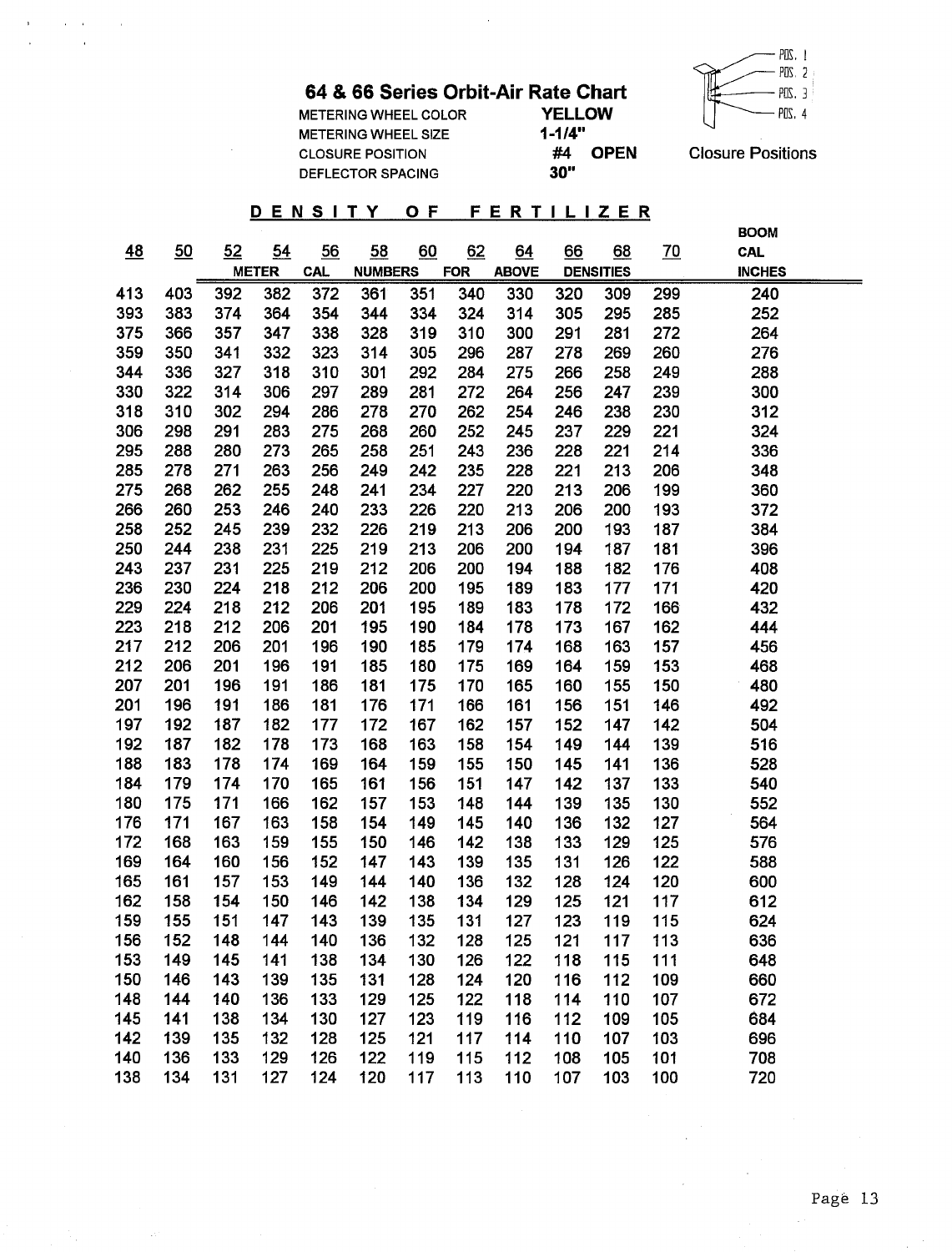$\ddot{\phantom{a}}$ 



METERING WHEEL COLOR METERING WHEEL SIZE **CLOSURE POSITION** DEFLECTOR SPACING

 $\mathcal{L}^{\mathcal{L}}(\mathbf{A})=\mathbf{A}^{\mathcal{L}}(\mathbf{A})$  , where  $\mathcal{L}^{\mathcal{L}}(\mathbf{A})$ 

 $\sim$ 

 $\gamma_{\rm g}$ 

 $\bar{1}$ 

|               | кате Спап   |  |
|---------------|-------------|--|
| <b>YELLOW</b> |             |  |
| $1 - 1/4"$    |             |  |
| #4            | <b>OPEN</b> |  |
| 30"           |             |  |

**Closure Positions** 

#### DENSITY OF FERTILIZER

|     |     |     |              |            |                |     |            |              |     |                  |           | <b>BOOM</b>   |
|-----|-----|-----|--------------|------------|----------------|-----|------------|--------------|-----|------------------|-----------|---------------|
| 48  | 50  | 52  | 54           | 56         | 58             | 60  | 62         | 64           | 66  | 68               | <u>70</u> | <b>CAL</b>    |
|     |     |     | <b>METER</b> | <b>CAL</b> | <b>NUMBERS</b> |     | <b>FOR</b> | <b>ABOVE</b> |     | <b>DENSITIES</b> |           | <b>INCHES</b> |
| 413 | 403 | 392 | 382          | 372        | 361            | 351 | 340        | 330          | 320 | 309              | 299       | 240           |
| 393 | 383 | 374 | 364          | 354        | 344            | 334 | 324        | 314          | 305 | 295              | 285       | 252           |
| 375 | 366 | 357 | 347          | 338        | 328            | 319 | 310        | 300          | 291 | 281              | 272       | 264           |
| 359 | 350 | 341 | 332          | 323        | 314            | 305 | 296        | 287          | 278 | 269              | 260       | 276           |
| 344 | 336 | 327 | 318          | 310        | 301            | 292 | 284        | 275          | 266 | 258              | 249       | 288           |
| 330 | 322 | 314 | 306          | 297        | 289            | 281 | 272        | 264          | 256 | 247              | 239       | 300           |
| 318 | 310 | 302 | 294          | 286        | 278            | 270 | 262        | 254          | 246 | 238              | 230       | 312           |
| 306 | 298 | 291 | 283          | 275        | 268            | 260 | 252        | 245          | 237 | 229              | 221       | 324           |
| 295 | 288 | 280 | 273          | 265        | 258            | 251 | 243        | 236          | 228 | 221              | 214       | 336           |
| 285 | 278 | 271 | 263          | 256        | 249            | 242 | 235        | 228          | 221 | 213              | 206       | 348           |
| 275 | 268 | 262 | 255          | 248        | 241            | 234 | 227        | 220          | 213 | 206              | 199       | 360           |
| 266 | 260 | 253 | 246          | 240        | 233            | 226 | 220        | 213          | 206 | 200              | 193       | 372           |
| 258 | 252 | 245 | 239          | 232        | 226            | 219 | 213        | 206          | 200 | 193              | 187       | 384           |
| 250 | 244 | 238 | 231          | 225        | 219            | 213 | 206        | 200          | 194 | 187              | 181       | 396           |
| 243 | 237 | 231 | 225          | 219        | 212            | 206 | 200        | 194          | 188 | 182              | 176       | 408           |
| 236 | 230 | 224 | 218          | 212        | 206            | 200 | 195        | 189          | 183 | 177              | 171       | 420           |
| 229 | 224 | 218 | 212          | 206        | 201            | 195 | 189        | 183          | 178 | 172              | 166       | 432           |
| 223 | 218 | 212 | 206          | 201        | 195            | 190 | 184        | 178          | 173 | 167              | 162       | 444           |
| 217 | 212 | 206 | 201          | 196        | 190            | 185 | 179        | 174          | 168 | 163              | 157       | 456           |
| 212 | 206 | 201 | 196          | 191        | 185            | 180 | 175        | 169          | 164 | 159              | 153       | 468           |
| 207 | 201 | 196 | 191          | 186        | 181            | 175 | 170        | 165          | 160 | 155              | 150       | 480           |
| 201 | 196 | 191 | 186          | 181        | 176            | 171 | 166        | 161          | 156 | 151              | 146       | 492           |
| 197 | 192 | 187 | 182          | 177        | 172            | 167 | 162        | 157          | 152 | 147              | 142       | 504           |
| 192 | 187 | 182 | 178          | 173        | 168            | 163 | 158        | 154          | 149 | 144              | 139       | 516           |
| 188 | 183 | 178 | 174          | 169        | 164            | 159 | 155        | 150          | 145 | 141              | 136       | 528           |
| 184 | 179 | 174 | 170          | 165        | 161            | 156 | 151        | 147          | 142 | 137              | 133       | 540           |
| 180 | 175 | 171 | 166          | 162        | 157            | 153 | 148        | 144          | 139 | 135              | 130       | 552           |
| 176 | 171 | 167 | 163          | 158        | 154            | 149 | 145        | 140          | 136 | 132              | 127       | 564           |
| 172 | 168 | 163 | 159          | 155        | 150            | 146 | 142        | 138          | 133 | 129              | 125       | 576           |
| 169 | 164 | 160 | 156          | 152        | 147            | 143 | 139        | 135          | 131 | 126              | 122       | 588           |
| 165 | 161 | 157 | 153          | 149        | 144            | 140 | 136        | 132          | 128 | 124              | 120       | 600           |
| 162 | 158 | 154 | 150          | 146        | 142            | 138 | 134        | 129          | 125 | 121              | 117       | 612           |
| 159 | 155 | 151 | 147          | 143        | 139            | 135 | 131        | 127          | 123 | 119              | 115       | 624           |
| 156 | 152 | 148 | 144          | 140        | 136            | 132 | 128        | 125          | 121 | 117              | 113       | 636           |
| 153 | 149 | 145 | 141          | 138        | 134            | 130 | 126        | 122          | 118 | 115              | 111       | 648           |
| 150 | 146 | 143 | 139          | 135        | 131            | 128 | 124        | 120          | 116 | 112              | 109       | 660           |
| 148 | 144 | 140 | 136          | 133        | 129            | 125 | 122        | 118          | 114 | 110              | 107       | 672           |
| 145 | 141 | 138 | 134          | 130        | 127            | 123 | 119        | 116          | 112 | 109              | 105       | 684           |
| 142 | 139 | 135 | 132          | 128        | 125            | 121 | 117        | 114          | 110 | 107              | 103       | 696           |
| 140 | 136 | 133 | 129          | 126        | 122            | 119 | 115        | 112          | 108 | 105              | 101       | 708           |
| 138 | 134 | 131 | 127          | 124        | 120            | 117 | 113        | 110          | 107 | 103              | 100       | 720           |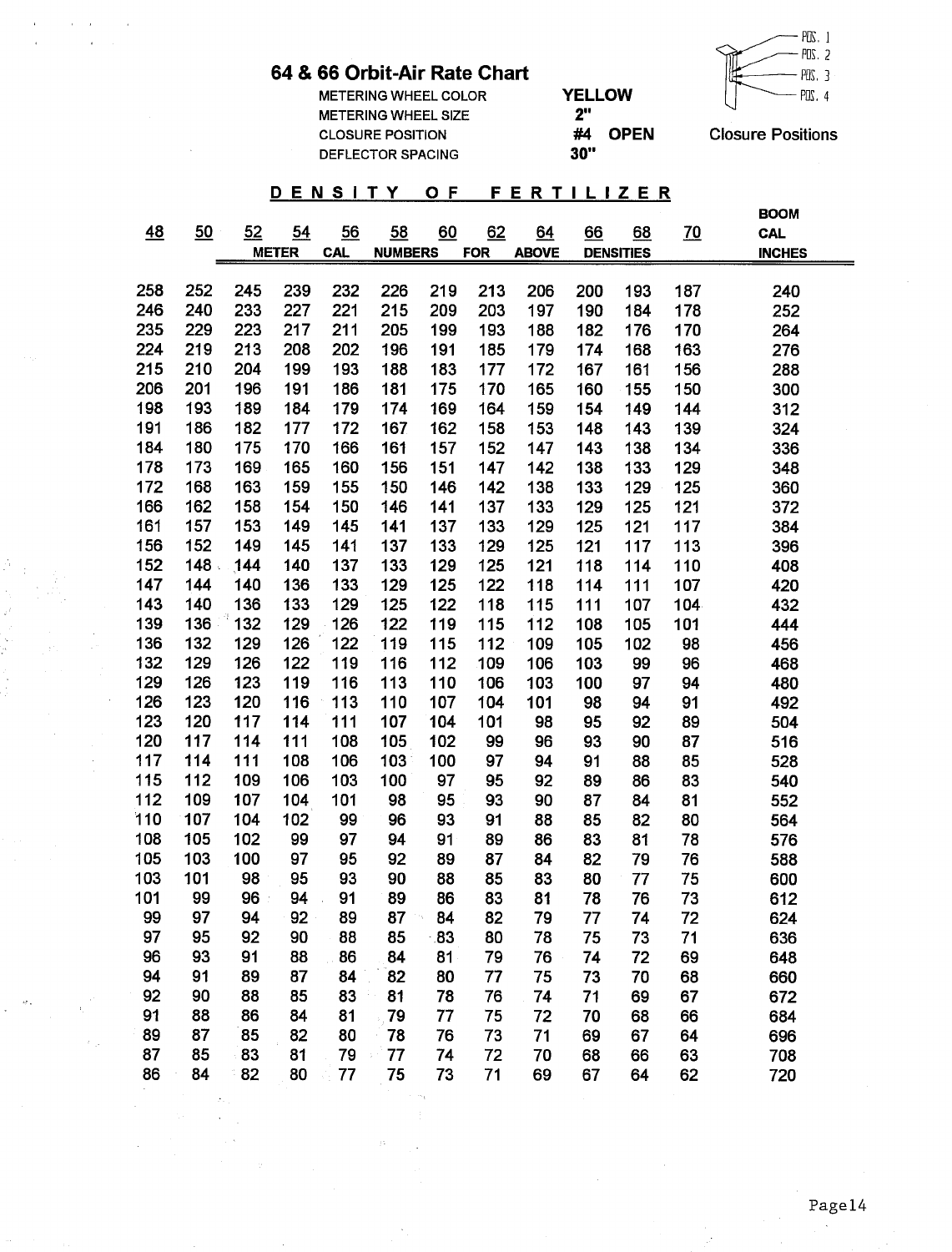#### $-$  PDS. 1  $PUS$  2  $POS.$  3  $PUS.4$

### 64 & 66 Orbit-Air Rate Chart

 $\mathcal{L}^{\text{max}}_{\text{max}}$  and  $\mathcal{L}^{\text{max}}_{\text{max}}$  and

 $\sim$ 

 $\mathbf{r}$ 

 $\frac{1}{2}$  and  $\frac{1}{2}$ 

 $\mathcal{F}_{\mathcal{A}}$ 

 $\bar{\beta}$ 

 $\tilde{\mathcal{M}}_{\text{max}} = \frac{1}{2} \sum_{i=1}^{2}$  $\sim 100$ 

 $\geq 0.5$ 

| <b>METERING WHEEL COLOR</b> | <b>YELLOW</b>     | POS.                     |
|-----------------------------|-------------------|--------------------------|
| <b>METERING WHEEL SIZE</b>  | יי?               |                          |
| <b>CLOSURE POSITION</b>     | <b>OPEN</b><br>#4 | <b>Closure Positions</b> |
| DEFLECTOR SPACING           | 30"               |                          |

#### DENSITY OF FERTILIZER

|     |     |     |              |            |                |     |            |              |     |                  |           | <b>BOOM</b>   |
|-----|-----|-----|--------------|------------|----------------|-----|------------|--------------|-----|------------------|-----------|---------------|
| 48  | 50  | 52  | 54           | 56         | 58             | 60  | 62         | 64           | 66  | 68               | <u>70</u> | <b>CAL</b>    |
|     |     |     | <b>METER</b> | <b>CAL</b> | <b>NUMBERS</b> |     | <b>FOR</b> | <b>ABOVE</b> |     | <b>DENSITIES</b> |           | <b>INCHES</b> |
|     |     |     |              |            |                |     |            |              |     |                  |           |               |
| 258 | 252 | 245 | 239          | 232        | 226            | 219 | 213        | 206          | 200 | 193              | 187       | 240           |
| 246 | 240 | 233 | 227          | 221        | 215            | 209 | 203        | 197          | 190 | 184              | 178       | 252           |
| 235 | 229 | 223 | 217          | 211        | 205            | 199 | 193        | 188          | 182 | 176              | 170       | 264           |
| 224 | 219 | 213 | 208          | 202        | 196            | 191 | 185        | 179          | 174 | 168              | 163       | 276           |
| 215 | 210 | 204 | 199          | 193        | 188            | 183 | 177        | 172          | 167 | 161              | 156       | 288           |
| 206 | 201 | 196 | 191          | 186        | 181            | 175 | 170        | 165          | 160 | 155              | 150       | 300           |
| 198 | 193 | 189 | 184          | 179        | 174            | 169 | 164        | 159          | 154 | 149              | 144       | 312           |
| 191 | 186 | 182 | 177          | 172        | 167            | 162 | 158        | 153          | 148 | 143              | 139       | 324           |
| 184 | 180 | 175 | 170          | 166        | 161            | 157 | 152        | 147          | 143 | 138              | 134       | 336           |
| 178 | 173 | 169 | 165          | 160        | 156            | 151 | 147        | 142          | 138 | 133              | 129       | 348           |
| 172 | 168 | 163 | 159          | 155        | 150            | 146 | 142        | 138          | 133 | 129              | 125       | 360           |
| 166 | 162 | 158 | 154          | 150        | 146            | 141 | 137        | 133          | 129 | 125              | 121       | 372           |
| 161 | 157 | 153 | 149          | 145        | 141            | 137 | 133        | 129          | 125 | 121              | 117       | 384           |
| 156 | 152 | 149 | 145          | 141        | 137            | 133 | 129        | 125          | 121 | 117              | 113       | 396           |
| 152 | 148 | 144 | 140          | 137        | 133            | 129 | 125        | 121          | 118 | 114              | 110       | 408           |
| 147 | 144 | 140 | 136          | 133        | 129            | 125 | 122        | 118          | 114 | 111              | 107       | 420           |
| 143 | 140 | 136 | 133          | 129        | 125            | 122 | 118        | 115          | 111 | 107              | 104       | 432           |
| 139 | 136 | 132 | 129          | 126        | 122            | 119 | 115        | 112          | 108 | 105              | 101       | 444           |
| 136 | 132 | 129 | 126          | 122        | 119            | 115 | 112        | 109          | 105 | 102              | 98        | 456           |
| 132 | 129 | 126 | 122          | 119        | 116            | 112 | 109        | 106          | 103 | 99               | 96        | 468           |
| 129 | 126 | 123 | 119          | 116        | 113            | 110 | 106        | 103          | 100 | 97               | 94        | 480           |
| 126 | 123 | 120 | 116          | 113        | 110            | 107 | 104        | 101          | 98  | 94               | 91        | 492           |
| 123 | 120 | 117 | 114          | 111        | 107            | 104 | 101        | 98           | 95  | 92               | 89        | 504           |
| 120 | 117 | 114 | 111          | 108        | 105            | 102 | 99         | 96           | 93  | 90               | 87        | 516           |
| 117 | 114 | 111 | 108          | 106        | 103            | 100 | 97         | 94           | 91  | 88               | 85        | 528           |
| 115 | 112 | 109 | 106          | 103        | 100            | 97  | 95         | 92           | 89  | 86               | 83        | 540           |
| 112 | 109 | 107 | 104          | 101        | 98             | 95  | 93         | 90           | 87  | 84               | 81        | 552           |
| 110 | 107 | 104 | 102          | 99         | 96             | 93  | 91         | 88           | 85  | 82               | 80        | 564           |
| 108 | 105 | 102 | 99           | 97         | 94             | 91  | 89         | 86           | 83  | 81               | 78        | 576           |
| 105 | 103 | 100 | 97           | 95         | 92             | 89  | 87         | 84           | 82  | 79               | 76        | 588           |
| 103 | 101 | 98  | 95           | 93         | 90             | 88  | 85         | 83           | 80  | 77               | 75        | 600           |
| 101 | 99  | 96  | 94           | 91         | 89             | 86  | 83         | 81           | 78  | 76               | 73        | 612           |
| 99  | 97  | 94  | 92           | 89         | 87             | 84  | 82         | 79           | 77  | 74               | 72        | 624           |
| 97  | 95  | 92  | 90           | 88         | 85             | .83 | 80         | 78           | 75  | 73               | 71        | 636           |
| 96  | 93  | 91  | 88           | 86         | 84             | 81  | 79         | 76           | 74  | 72               | 69        | 648           |
| 94  | 91  | 89  | 87           | 84         | 82             | 80  | 77         | 75           | 73  | 70               | 68        | 660           |
| 92  | 90  | 88  | 85           | 83         | 81             | 78  | 76         | 74           | 71  | 69               | 67        | 672           |
| 91  | 88  | 86  | 84           | 81         | 79             | 77  | 75         | 72           | 70  | 68               | 66        | 684           |
| 89  | 87  | 85  | 82           | 80         | 78             | 76  | 73         | 71           | 69  | 67               | 64        | 696           |
| 87  | 85  | 83  | 81           | 79         | 77             | 74  | 72         | 70           | 68  | 66               | 63        | 708           |
| 86  | 84  | 82  | 80           | 77         | 75             | 73  | 71         | 69           | 67  | 64               | 62        | 720           |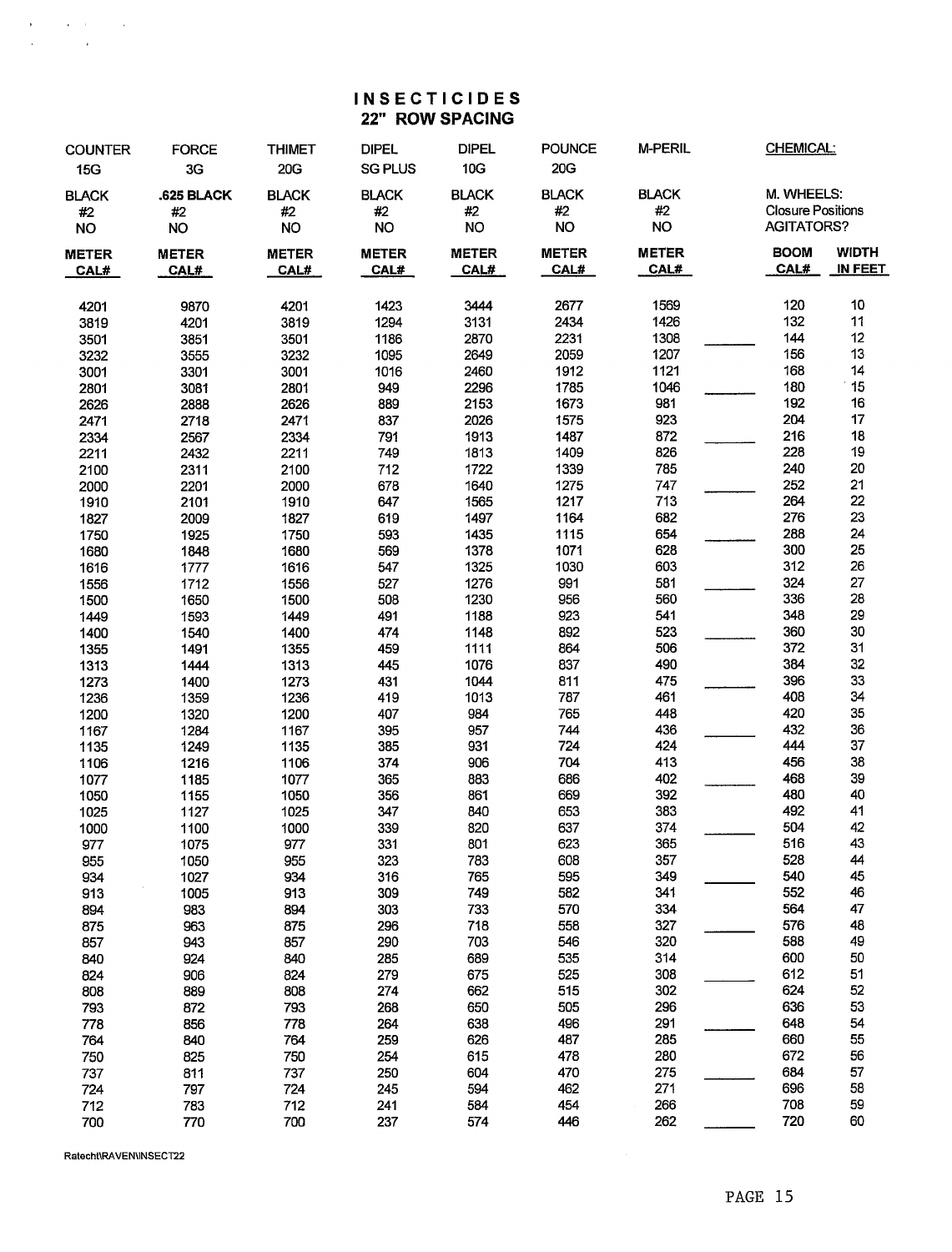#### **INSECTICIDES** 22" ROW SPACING

| <b>COUNTER</b><br>15G           | <b>FORCE</b><br>3G            | <b>THIMET</b><br>20G            | <b>DIPEL</b><br><b>SG PLUS</b>  | <b>DIPEL</b><br>10G             | <b>POUNCE</b><br><b>20G</b>     | <b>M-PERIL</b>                  | CHEMICAL:                                                   |                                |
|---------------------------------|-------------------------------|---------------------------------|---------------------------------|---------------------------------|---------------------------------|---------------------------------|-------------------------------------------------------------|--------------------------------|
| <b>BLACK</b><br>#2<br><b>NO</b> | .625 BLACK<br>#2<br><b>NO</b> | <b>BLACK</b><br>#2<br><b>NO</b> | <b>BLACK</b><br>#2<br><b>NO</b> | <b>BLACK</b><br>#2<br><b>NO</b> | <b>BLACK</b><br>#2<br><b>NO</b> | <b>BLACK</b><br>#2<br><b>NO</b> | M. WHEELS:<br><b>Closure Positions</b><br><b>AGITATORS?</b> |                                |
| <b>METER</b><br>CAL#            | <b>METER</b><br>CAL#          | <b>METER</b><br>CAL#            | <b>METER</b><br>CAL#            | <b>METER</b><br>CAL#            | <b>METER</b><br>CAL#            | <b>METER</b><br>CAL#            | <b>BOOM</b><br>CAL#                                         | <b>WIDTH</b><br><b>IN FEET</b> |
| 4201                            | 9870                          | 4201                            | 1423                            | 3444                            | 2677                            | 1569                            | 120                                                         | 10                             |
| 3819                            | 4201                          | 3819                            | 1294                            | 3131                            | 2434                            | 1426                            | 132                                                         | 11                             |
| 3501                            | 3851                          | 3501                            | 1186                            | 2870                            | 2231                            | 1308                            | 144                                                         | 12                             |
| 3232                            | 3555                          | 3232                            | 1095                            | 2649                            | 2059                            | 1207                            | 156                                                         | $13\,$                         |
| 3001                            | 3301                          | 3001                            | 1016                            | 2460                            | 1912                            | 1121                            | 168                                                         | 14                             |
| 2801                            | 3081                          | 2801                            | 949                             | 2296                            | 1785                            | 1046                            | 180                                                         | 15                             |
| 2626                            | 2888                          | 2626                            | 889                             | 2153                            | 1673                            | 981                             | 192                                                         | 16                             |
| 2471                            | 2718                          | 2471                            | 837                             | 2026                            | 1575                            | 923                             | 204                                                         | $17\,$                         |
| 2334                            | 2567                          | 2334                            | 791                             | 1913                            | 1487                            | 872                             | 216                                                         | 18<br>19                       |
| 2211                            | 2432                          | 2211                            | 749                             | 1813                            | 1409                            | 826                             | 228                                                         |                                |
| 2100                            | 2311                          | 2100                            | 712                             | 1722                            | 1339                            | 785                             | 240                                                         | 20                             |
| 2000                            | 2201                          | 2000                            | 678                             | 1640                            | 1275                            | 747                             | 252                                                         | 21<br>22<br>23                 |
| 1910                            | 2101                          | 1910                            | 647                             | 1565                            | 1217                            | 713                             | 264                                                         |                                |
| 1827                            | 2009                          | 1827                            | 619                             | 1497                            | 1164                            | 682                             | 276                                                         |                                |
| 1750                            | 1925                          | 1750                            | 593                             | 1435                            | 1115                            | 654                             | 288                                                         | 24                             |
| 1680                            | 1848                          | 1680                            | 569                             | 1378                            | 1071                            | 628                             | 300                                                         | 25<br>26                       |
| 1616                            | 1777                          | 1616                            | 547                             | 1325                            | 1030                            | 603                             | 312                                                         |                                |
| 1556                            | 1712                          | 1556                            | 527                             | 1276                            | 991                             | 581                             | 324                                                         |                                |
| 1500                            | 1650                          | 1500                            | 508                             | 1230                            | 956<br>923                      | 560                             | 336<br>348                                                  | 27<br>28<br>29                 |
| 1449                            | 1593                          | 1449<br>1400                    | 491<br>474                      | 1188                            | 892                             | 541<br>523                      | 360                                                         |                                |
| 1400<br>1355                    | 1540<br>1491                  | 1355                            | 459                             | 1148<br>1111                    | 864                             | 506                             | 372                                                         | 30<br>31                       |
| 1313                            | 1444                          | 1313                            | 445                             | 1076                            | 837                             | 490                             | 384                                                         | 32                             |
| 1273                            | 1400                          | 1273                            | 431                             | 1044                            | 811                             | 475                             | 396                                                         |                                |
| 1236                            | 1359                          | 1236                            | 419                             | 1013                            | 787                             | 461                             | 408                                                         | 33<br>34                       |
| 1200                            | 1320                          | 1200                            | 407                             | 984                             | 765                             | 448                             | 420                                                         | 35                             |
| 1167                            | 1284                          | 1167                            | 395                             | 957                             | 744                             | 436                             | 432                                                         |                                |
| 1135                            | 1249                          | 1135                            | 385                             | 931                             | 724                             | 424                             | 444                                                         | 36<br>37                       |
| 1106                            | 1216                          | 1106                            | 374                             | 906                             | 704                             | 413                             | 456                                                         | 38                             |
| 1077                            | 1185                          | 1077                            | 365                             | 883                             | 686                             | 402                             | 468                                                         | 39                             |
| 1050                            | 1155                          | 1050                            | 356                             | 861                             | 669                             | 392                             | 480                                                         | 40                             |
| 1025                            | 1127                          | 1025                            | 347                             | 840                             | 653                             | 383                             | 492                                                         | 41                             |
| 1000                            | 1100                          | 1000                            | 339                             | 820                             | 637                             | 374                             | 504                                                         | 42                             |
| 977                             | 1075                          | 977                             | 331                             | 801                             | 623                             | 365                             | 516                                                         | 43                             |
| 955                             | 1050                          | 955                             | 323                             | 783                             | 608                             | 357                             | 528                                                         | 44                             |
| 934                             | 1027                          | 934                             | 316                             | 765                             | 595                             | 349                             | 540                                                         | 45                             |
| 913                             | 1005                          | 913                             | 309                             | 749                             | 582                             | 341                             | 552                                                         | 46                             |
| 894                             | 983                           | 894                             | 303                             | 733                             | 570                             | 334                             | 564                                                         | 47                             |
| 875                             | 963                           | 875                             | 296                             | 718                             | 558                             | 327                             | 576                                                         | 48                             |
| 857                             | 943                           | 857                             | 290                             | 703                             | 546                             | 320                             | 588                                                         | 49                             |
| 840                             | 924                           | 840                             | 285                             | 689                             | 535                             | 314                             | 600                                                         | 50                             |
| 824                             | 906                           | 824                             | 279                             | 675                             | 525                             | 308                             | 612                                                         | 51                             |
| 808                             | 889                           | 808                             | 274                             | 662                             | 515                             | 302                             | 624                                                         | 52                             |
| 793                             | 872                           | 793                             | 268                             | 650                             | 505                             | 296                             | 636                                                         | 53                             |
| 778                             | 856                           | 778                             | 264                             | 638                             | 496                             | 291                             | 648                                                         | 54                             |
| 764                             | 840                           | 764                             | 259                             | 626                             | 487                             | 285                             | 660                                                         | 55                             |
| 750                             | 825                           | 750                             | 254                             | 615                             | 478                             | 280                             | 672                                                         | 56                             |
| 737                             | 811                           | 737                             | 250                             | 604                             | 470                             | 275                             | 684                                                         | 57                             |
| 724                             | 797                           | 724                             | 245                             | 594                             | 462                             | 271                             | 696                                                         | 58                             |
| 712                             | 783                           | 712                             | 241                             | 584                             | 454                             | 266                             | 708                                                         | 59                             |
| 700                             | 770                           | 700                             | 237                             | 574                             | 446                             | 262                             | 720                                                         | 60                             |

Ratecht\RAVEN\INSECT22

 $\label{eq:2.1} \begin{split} \mathbf{A}^{(1)} &= \mathbf{A}^{(1)} \mathbf{A}^{(1)} + \mathbf{A}^{(1)} \mathbf{A}^{(1)} \mathbf{A}^{(1)} \mathbf{A}^{(1)} \mathbf{A}^{(1)} \mathbf{A}^{(1)} \mathbf{A}^{(1)} \mathbf{A}^{(1)} \mathbf{A}^{(1)} \mathbf{A}^{(1)} \mathbf{A}^{(1)} \mathbf{A}^{(1)} \mathbf{A}^{(1)} \mathbf{A}^{(1)} \mathbf{A}^{(1)} \mathbf{A}^{(1)} \mathbf{A}^{(1)} \mathbf{$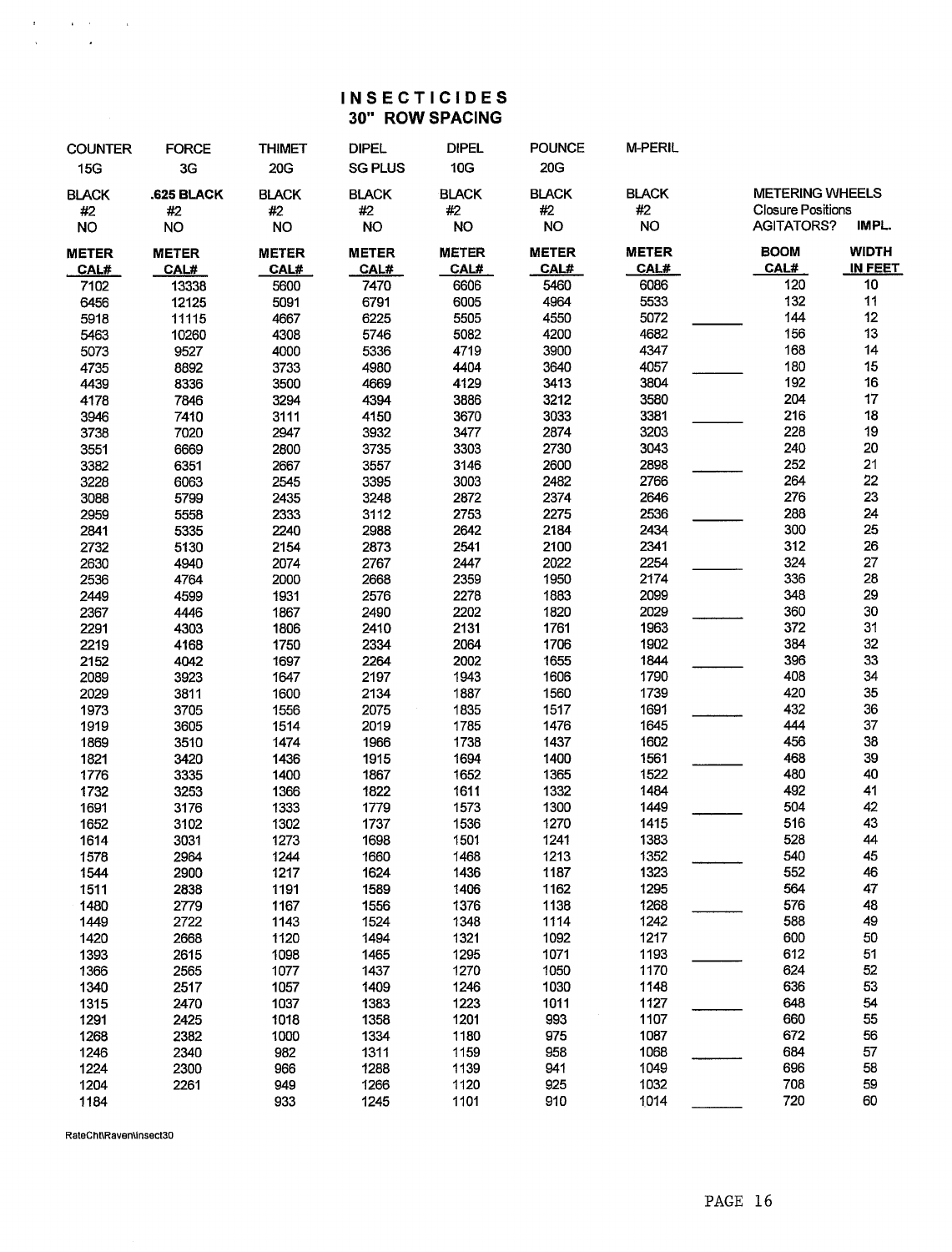### **INSECTICIDES** 30" ROW SPACING

| <b>COUNTER</b> | <b>FORCE</b> | <b>THIMET</b> | <b>DIPEL</b>   | <b>DIPEL</b> | <b>POUNCE</b> | <b>M-PERIL</b> |                          |              |
|----------------|--------------|---------------|----------------|--------------|---------------|----------------|--------------------------|--------------|
| 15G            | 3G           | 20G           | <b>SG PLUS</b> | 10G          | 20G           |                |                          |              |
| <b>BLACK</b>   | .625 BLACK   | <b>BLACK</b>  | <b>BLACK</b>   | <b>BLACK</b> | <b>BLACK</b>  | <b>BLACK</b>   | <b>METERING WHEELS</b>   |              |
| #2             | #2           | #2            | #2             | #2           | #2            | #2             | <b>Closure Positions</b> |              |
| <b>NO</b>      | <b>NO</b>    | <b>NO</b>     | <b>NO</b>      | <b>NO</b>    | <b>NO</b>     | <b>NO</b>      | <b>AGITATORS?</b>        | IMPL.        |
| <b>METER</b>   | <b>METER</b> | <b>METER</b>  | <b>METER</b>   | <b>METER</b> | <b>METER</b>  | <b>METER</b>   | <b>BOOM</b>              | <b>WIDTH</b> |
| CAL#           | CAL#         | CAL#          | CAL#           | CAL#         | CAL#          | CAL#           | CAL#                     | IN FEET      |
| 7102           | 13338        | 5600          | 7470           | 6606         | 5460          | 6086           | 120                      | 10           |
| 6456           | 12125        | 5091          | 6791           | 6005         | 4964          | 5533           | 132                      | 11           |
| 5918           | 11115        | 4667          | 6225           | 5505         | 4550          | 5072           | 144                      | 12           |
| 5463           | 10260        | 4308          | 5746           | 5082         | 4200          | 4682           | 156                      | 13           |
| 5073           | 9527         | 4000          | 5336           | 4719         | 3900          | 4347           | 168                      | 14           |
| 4735           | 8892         | 3733          | 4980           | 4404         | 3640          | 4057           | 180                      | 15           |
| 4439           | 8336         | 3500          | 4669           | 4129         | 3413          | 3804           | 192                      | 16           |
| 4178           | 7846         | 3294          | 4394           | 3886         | 3212          | 3580           | 204                      | 17           |
| 3946           | 7410         | 3111          | 4150           | 3670         | 3033          | 3381           | 216                      | 18           |
| 3738           | 7020         | 2947          | 3932           | 3477         | 2874          | 3203           | 228                      | 19           |
| 3551           | 6669         | 2800          | 3735           | 3303         | 2730          | 3043           | 240                      | 20           |
| 3382           | 6351         | 2667          | 3557           | 3146         | 2600          | 2898           | 252                      | 21           |
| 3228           | 6063         | 2545          | 3395           | 3003         | 2482          | 2766           | 264                      | 22           |
| 3088           | 5799         | 2435          | 3248           | 2872         | 2374          | 2646           | 276                      | 23           |
| 2959           | 5558         | 2333          | 3112           | 2753         | 2275          | 2536           | 288                      | 24           |
|                |              | 2240          | 2988           | 2642         | 2184          | 2434           | 300                      | 25           |
| 2841           | 5335<br>5130 | 2154          | 2873           | 2541         | 2100          | 2341           | 312                      | 26           |
| 2732           |              | 2074          |                | 2447         | 2022          | 2254           | 324                      | 27           |
| 2630           | 4940<br>4764 | 2000          | 2767<br>2668   | 2359         | 1950          | 2174           | 336                      | 28           |
| 2536<br>2449   | 4599         | 1931          | 2576           | 2278         | 1883          | 2099           | 348                      | 29           |
| 2367           | 4446         | 1867          | 2490           | 2202         | 1820          | 2029           | 360                      | 30           |
| 2291           | 4303         | 1806          | 2410           | 2131         | 1761          | 1963           | 372                      | 31           |
| 2219           | 4168         | 1750          | 2334           | 2064         | 1706          | 1902           | 384                      | 32           |
| 2152           | 4042         | 1697          | 2264           | 2002         | 1655          | 1844           | 396                      | 33           |
| 2089           | 3923         | 1647          | 2197           | 1943         | 1606          | 1790           | 408                      | 34           |
| 2029           | 3811         | 1600          | 2134           | 1887         | 1560          | 1739           | 420                      | 35           |
| 1973           | 3705         | 1556          | 2075           | 1835         | 1517          | 1691           | 432                      | 36           |
| 1919           | 3605         | 1514          | 2019           | 1785         | 1476          | 1645           | 444                      | 37           |
| 1869           | 3510         | 1474          | 1966           | 1738         | 1437          | 1602           | 456                      | 38           |
| 1821           | 3420         | 1436          | 1915           | 1694         | 1400          | 1561           | 468                      | 39           |
| 1776           | 3335         | 1400          | 1867           | 1652         | 1365          | 1522           | 480                      | 40           |
| 1732           | 3253         | 1366          | 1822           | 1611         | 1332          | 1484           | 492                      | 41           |
| 1691           | 3176         | 1333          | 1779           | 1573         | 1300          | 1449           | 504                      | 42           |
| 1652           | 3102         | 1302          | 1737           | 1536         | 1270          | 1415           | 516                      | 43           |
| 1614           | 3031         | 1273          | 1698           | 1501         | 1241          | 1383           | 528                      | 44           |
| 1578           | 2964         | 1244          | 1660           | 1468         | 1213          | 1352           | 540                      | 45           |
| 1544           | 2900         | 1217          | 1624           | 1436         | 1187          | 1323           | 552                      | 46           |
| 1511           | 2838         | 1191          | 1589           | 1406         | 1162          | 1295           | 564                      | 47           |
| 1480           | 2779         | 1167          | 1556           | 1376         | 1138          | 1268           | 576                      | 48           |
| 1449           | 2722         | 1143          | 1524           | 1348         | 1114          | 1242           | 588                      | 49           |
| 1420           | 2668         | 1120          | 1494           | 1321         | 1092          | 1217           | 600                      | 50           |
| 1393           | 2615         | 1098          | 1465           | 1295         | 1071          | 1193           | 612                      | 51           |
| 1366           | 2565         | 1077          | 1437           | 1270         | 1050          | 1170           | 624                      | 52           |
| 1340           | 2517         | 1057          | 1409           | 1246         | 1030          | 1148           | 636                      | 53           |
| 1315           | 2470         | 1037          | 1383           | 1223         | 1011          | 1127           | 648                      | 54           |
| 1291           | 2425         | 1018          | 1358           | 1201         | 993           | 1107           | 660                      | 55           |
| 1268           | 2382         | 1000          | 1334           | 1180         | 975           | 1087           | 672                      | 56           |
| 1246           | 2340         | 982           | 1311           | 1159         | 958           | 1068           | 684                      | 57           |
| 1224           | 2300         | 966           | 1288           | 1139         | 941           | 1049           | 696                      | 58           |
| 1204           | 2261         | 949           | 1266           | 1120         | 925           | 1032           | 708                      | 59           |
| 1184           |              | 933           | 1245           | 1101         | 910           | 1014           | 720                      | 60           |

RateCht\Raven\insect30

 $\label{eq:2.1} \begin{split} \frac{d\mathbf{r}}{d\mathbf{r}}&= -\frac{1}{2}\mathbf{r}^2\mathbf{r}^2\mathbf{r}^2 + \frac{1}{2}\mathbf{r}^2\mathbf{r}^2\mathbf{r}^2\\ &\quad -\frac{1}{2}\mathbf{r}^2\mathbf{r}^2\mathbf{r}^2 + \frac{1}{2}\mathbf{r}^2\mathbf{r}^2\mathbf{r}^2\mathbf{r}^2\mathbf{r}^2\mathbf{r}^2\mathbf{r}^2\mathbf{r}^2\mathbf{r}^2\mathbf{r}^2\math$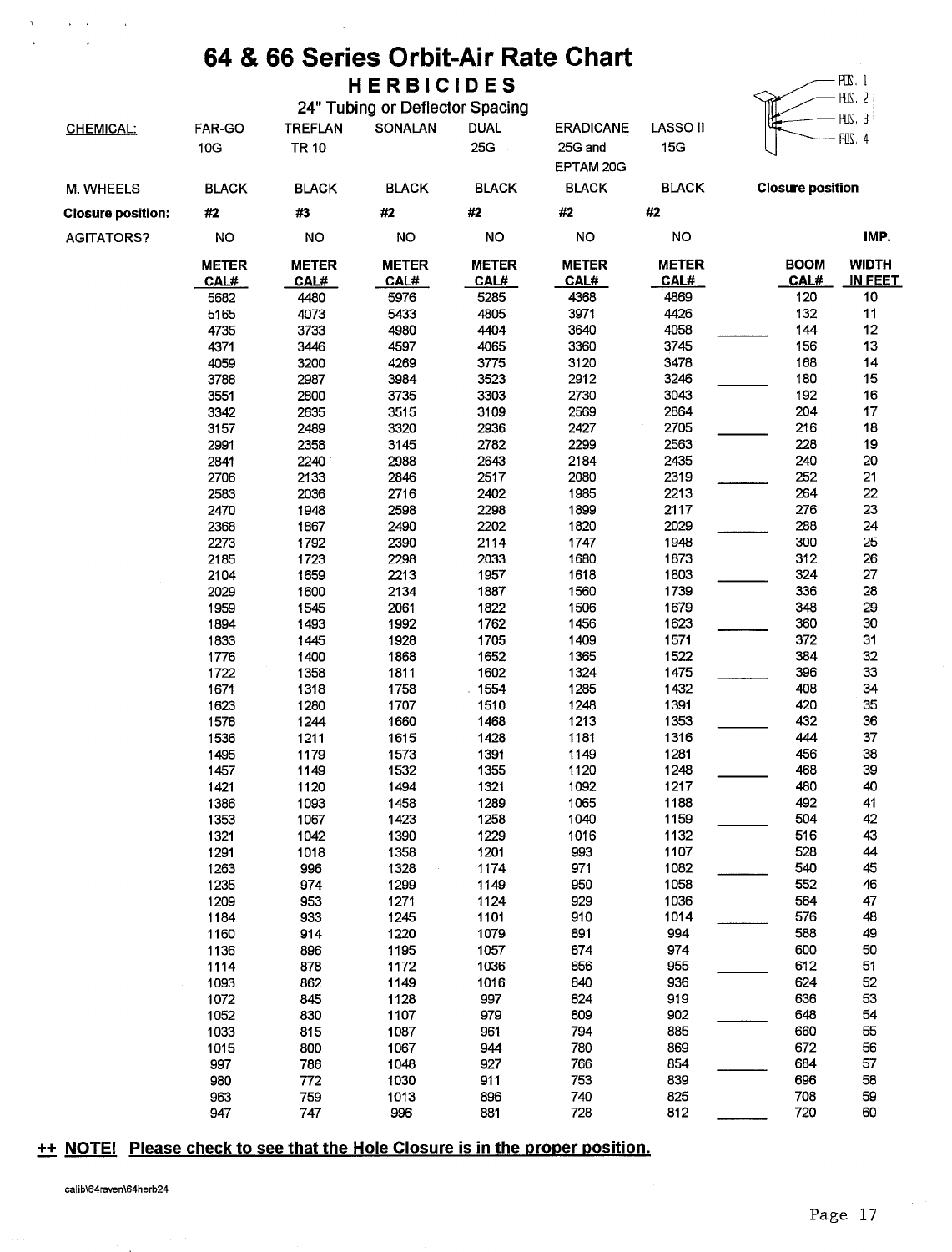### 64 & 66 Series Orbit-Air Rate Chart **HERBICIDES**

|                          |                      |                      | 24" Tubing or Deflector Spacing |                             |                      |                      |                         | PUS. 2                         |
|--------------------------|----------------------|----------------------|---------------------------------|-----------------------------|----------------------|----------------------|-------------------------|--------------------------------|
|                          | FAR-GO               | <b>TREFLAN</b>       | SONALAN                         | <b>DUAL</b>                 | <b>ERADICANE</b>     | LASSO <sub>II</sub>  |                         | POS. 3                         |
| <b>CHEMICAL:</b>         | 10G                  | <b>TR 10</b>         |                                 | 25G                         | 25G and              | 15G                  |                         | POS. 4                         |
|                          |                      |                      |                                 |                             | EPTAM 20G            |                      |                         |                                |
| M. WHEELS                | <b>BLACK</b>         | <b>BLACK</b>         | <b>BLACK</b>                    | <b>BLACK</b>                | <b>BLACK</b>         | <b>BLACK</b>         | <b>Closure position</b> |                                |
| <b>Closure position:</b> | #2                   | #3                   | #2                              | $\#2$                       | #2                   | #2                   |                         |                                |
| <b>AGITATORS?</b>        | <b>NO</b>            | <b>NO</b>            | <b>NO</b>                       | <b>NO</b>                   | <b>NO</b>            | <b>NO</b>            |                         | IMP.                           |
|                          | <b>METER</b><br>CAL# | <b>METER</b><br>CAL# | <b>METER</b><br>CAL#            | <b>METER</b><br><b>CAL#</b> | <b>METER</b><br>CAL# | <b>METER</b><br>CAL# | <b>BOOM</b><br>CAL#     | <b>WIDTH</b><br><u>IN FEET</u> |
|                          | 5682                 | 4480                 | 5976                            | 5285                        | 4368                 | 4869                 | 120                     | 10                             |
|                          | 5165                 | 4073                 | 5433                            | 4805                        | 3971                 | 4426                 | 132                     | 11                             |
|                          | 4735                 | 3733                 | 4980                            | 4404                        | 3640                 | 4058                 | 144                     | 12                             |
|                          | 4371                 | 3446                 | 4597                            | 4065                        | 3360                 | 3745                 | 156                     | 13                             |
|                          | 4059                 | 3200                 | 4269                            | 3775                        | 3120                 | 3478                 | 168                     | 14                             |
|                          | 3788                 | 2987                 | 3984                            | 3523                        | 2912                 | 3246                 | 180                     | 15                             |
|                          | 3551                 | 2800                 | 3735                            | 3303                        | 2730                 | 3043                 | 192                     | 16                             |
|                          | 3342                 | 2635                 | 3515                            | 3109                        | 2569                 | 2864                 | 204                     | 17                             |
|                          | 3157                 | 2489                 | 3320                            | 2936                        | 2427                 | 2705                 | 216                     | 18                             |
|                          | 2991                 | 2358                 | 3145                            | 2782                        | 2299                 | 2563                 | 228                     | 19                             |
|                          | 2841                 | 2240                 | 2988                            | 2643                        | 2184                 | 2435                 | 240                     | 20                             |
|                          | 2706                 | 2133                 | 2846                            | 2517                        | 2080                 | 2319                 | 252                     | 21                             |
|                          | 2583                 | 2036                 | 2716                            | 2402                        | 1985                 | 2213                 | 264                     | 22                             |
|                          | 2470                 | 1948                 | 2598                            | 2298                        | 1899                 | 2117<br>2029         | 276<br>288              | 23                             |
|                          | 2368                 | 1867                 | 2490                            | 2202                        | 1820                 |                      | 300                     | 24<br>25                       |
|                          | 2273<br>2185         | 1792<br>1723         | 2390<br>2298                    | 2114<br>2033                | 1747<br>1680         | 1948<br>1873         | 312                     | 26                             |
|                          | 2104                 | 1659                 | 2213                            | 1957                        | 1618                 | 1803                 | 324                     | 27                             |
|                          | 2029                 | 1600                 | 2134                            | 1887                        | 1560                 | 1739                 | 336                     | 28                             |
|                          | 1959                 | 1545                 | 2061                            | 1822                        | 1506                 | 1679                 | 348                     | 29                             |
|                          | 1894                 | 1493                 | 1992                            | 1762                        | 1456                 | 1623                 | 360                     | 30                             |
|                          | 1833                 | 1445                 | 1928                            | 1705                        | 1409                 | 1571                 | 372                     | 31                             |
|                          | 1776                 | 1400                 | 1868                            | 1652                        | 1365                 | 1522                 | 384                     | 32                             |
|                          | 1722                 | 1358                 | 1811                            | 1602                        | 1324                 | 1475                 | 396                     | 33                             |
|                          | 1671                 | 1318                 | 1758                            | 1554                        | 1285                 | 1432                 | 408                     | 34                             |
|                          | 1623                 | 1280                 | 1707                            | 1510                        | 1248                 | 1391                 | 420                     | 35                             |
|                          | 1578                 | 1244                 | 1660                            | 1468                        | 1213                 | 1353                 | 432                     | 36                             |
|                          | 1536                 | 1211                 | 1615                            | 1428                        | 1181                 | 1316                 | 444                     | 37                             |
|                          | 1495                 | 1179                 | 1573                            | 1391                        | 1149                 | 1281                 | 456                     | 38                             |
|                          | 1457                 | 1149                 | 1532                            | 1355                        | 1120                 | 1248                 | 468                     | 39                             |
|                          | 1421                 | 1120                 | 1494                            | 1321                        | 1092                 | 1217                 | 480                     | 40                             |
|                          | 1386                 | 1093                 | 1458                            | 1289                        | 1065                 | 1188                 | 492                     | 41                             |
|                          | 1353                 | 1067                 | 1423                            | 1258                        | 1040                 | 1159                 | 504                     | 42                             |
|                          | 1321                 | 1042                 | 1390                            | 1229                        | 1016                 | 1132                 | 516                     | 43                             |
|                          | 1291                 | 1018                 | 1358                            | 1201                        | 993                  | 1107                 | 528                     | 44                             |
|                          | 1263                 | 996                  | 1328                            | 1174                        | 971                  | 1082                 | 540                     | 45                             |
|                          | 1235                 | 974                  | 1299                            | 1149                        | 950                  | 1058                 | 552                     | 46                             |
|                          | 1209                 | 953                  | 1271                            | 1124                        | 929                  | 1036                 | 564                     | 47                             |
|                          | 1184                 | 933                  | 1245                            | 1101                        | 910                  | 1014                 | 576                     | 48                             |
|                          | 1160                 | 914                  | 1220                            | 1079                        | 891                  | 994                  | 588                     | 49                             |
|                          | 1136                 | 896                  | 1195                            | 1057                        | 874                  | 974                  | 600                     | 50                             |
|                          | 1114                 | 878                  | 1172                            | 1036                        | 856                  | 955                  | 612                     | 51                             |
|                          | 1093                 | 862                  | 1149                            | 1016                        | 840                  | 936                  | 624                     | 52                             |
|                          | 1072                 | 845                  | 1128                            | 997                         | 824                  | 919                  | 636                     | 53                             |
|                          | 1052                 | 830                  | 1107                            | 979                         | 809                  | 902                  | 648                     | 54                             |
|                          | 1033                 | 815                  | 1087                            | 961                         | 794                  | 885<br>869           | 660<br>672              | 55                             |
|                          | 1015<br>997          | 800                  | 1067<br>1048                    | 944<br>927                  | 780<br>766           | 854                  | 684                     | 56<br>57                       |
|                          | 980                  | 786<br>772           | 1030                            | 911                         | 753                  | 839                  | 696                     | 58                             |
|                          | 963                  | 759                  | 1013                            | 896                         | 740                  | 825                  | 708                     | 59                             |
|                          | 947                  | 747                  | 996                             | 881                         | 728                  | 812                  | 720                     | 60                             |
|                          |                      |                      |                                 |                             |                      |                      |                         |                                |

#### ++ NOTE! Please check to see that the Hole Closure is in the proper position.

 $\mathbf{r} = \mathbf{r}$ 

 $\mathcal{A}$ 

 $\mathcal{A}$ 

 $-$  POS. 1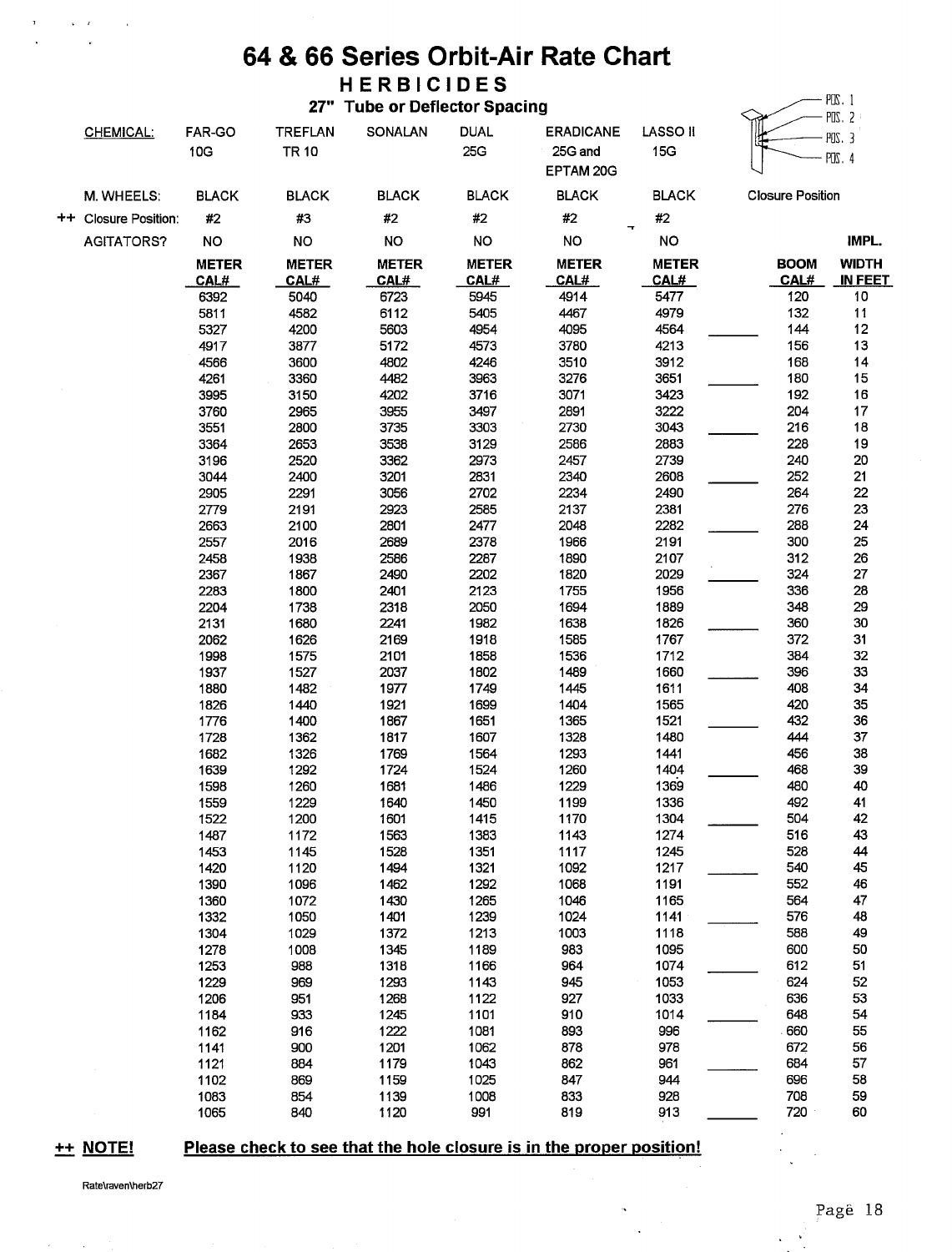### 64 & 66 Series Orbit-Air Rate Chart HERBICIDES

27" Tube or Deflector Spacing

| <b>CHEMICAL:</b>     | FAR-GO<br>10G        | TREFLAN<br><b>TR 10</b> | SONALAN              | <b>DUAL</b><br>25G  | <b>ERADICANE</b><br>25G and<br>EPTAM 20G | <b>LASSO II</b><br>15G |                         | POS 2<br>$PUS.$ 3<br>$PUS$ 4 |
|----------------------|----------------------|-------------------------|----------------------|---------------------|------------------------------------------|------------------------|-------------------------|------------------------------|
| M. WHEELS:           | <b>BLACK</b>         | <b>BLACK</b>            | <b>BLACK</b>         | <b>BLACK</b>        | <b>BLACK</b>                             | <b>BLACK</b>           | <b>Closure Position</b> |                              |
| ++ Closure Position: | #2                   | #3                      | #2                   | #2                  | #2                                       | #2                     |                         |                              |
| AGITATORS?           | <b>NO</b>            | <b>NO</b>               | <b>NO</b>            | <b>NO</b>           | <b>NO</b>                                | <b>NO</b>              |                         | IMPL.                        |
|                      |                      |                         |                      |                     |                                          |                        |                         |                              |
|                      | <b>METER</b>         | <b>METER</b>            | <b>METER</b>         | <b>METER</b>        | <b>METER</b>                             | <b>METER</b>           | <b>BOOM</b><br>CAL#     | <b>WIDTH</b><br>IN FEET      |
|                      | <u>CAL#_</u><br>6392 | <u>CAL#</u><br>5040     | <u>CAL#_</u><br>6723 | <b>CAL#</b><br>5945 | CAL#<br>4914                             | CAL#<br>5477           | 120                     | 10                           |
|                      | 5811                 | 4582                    | 6112                 | 5405                | 4467                                     | 4979                   | 132                     | 11                           |
|                      | 5327                 | 4200                    | 5603                 | 4954                | 4095                                     | 4564                   | 144                     | 12                           |
|                      | 4917                 | 3877                    | 5172                 | 4573                | 3780                                     | 4213                   | 156                     | 13                           |
|                      | 4566                 | 3600                    | 4802                 | 4246                | 3510                                     | 3912                   | 168                     | 14                           |
|                      | 4261                 | 3360                    | 4482                 | 3963                | 3276                                     | 3651                   | 180                     | 15                           |
|                      | 3995                 | 3150                    | 4202                 | 3716                | 3071                                     | 3423                   | 192                     | 16                           |
|                      | 3760                 | 2965                    | 3955                 | 3497                | 2891                                     | 3222                   | 204                     | 17                           |
|                      | 3551                 | 2800                    | 3735                 | 3303                | 2730                                     | 3043                   | 216                     | 18                           |
|                      | 3364                 | 2653                    | 3538                 | 3129                | 2586                                     | 2883                   | 228                     | 19                           |
|                      | 3196                 | 2520                    | 3362                 | 2973                | 2457                                     | 2739                   | 240                     | 20                           |
|                      | 3044                 | 2400                    | 3201                 | 2831                | 2340                                     | 2608                   | 252                     | 21                           |
|                      | 2905                 | 2291                    | 3056                 | 2702                | 2234                                     | 2490                   | 264                     | 22                           |
|                      | 2779                 | 2191                    | 2923                 | 2585                | 2137                                     | 2381                   | 276                     | 23                           |
|                      | 2663                 | 2100                    | 2801                 | 2477                | 2048                                     | 2282                   | 288                     | 24                           |
|                      | 2557                 | 2016                    | 2689                 | 2378                | 1966                                     | 2191                   | 300                     | 25                           |
|                      | 2458                 | 1938                    | 2586                 | 2287                | 1890                                     | 2107                   | 312                     | 26                           |
|                      | 2367                 | 1867                    | 2490                 | 2202                | 1820                                     | 2029                   | 324                     | 27                           |
|                      | 2283                 | 1800                    | 2401                 | 2123                | 1755                                     | 1956                   | 336                     | 28                           |
|                      | 2204                 | 1738                    | 2318                 | 2050                | 1694                                     | 1889                   | 348                     | 29                           |
|                      | 2131                 | 1680                    | 2241                 | 1982                | 1638                                     | 1826                   | 360                     | 30                           |
|                      | 2062                 | 1626                    | 2169                 | 1918                | 1585                                     | 1767                   | 372                     | 31                           |
|                      | 1998                 | 1575                    | 2101                 | 1858                | 1536                                     | 1712                   | 384                     | 32                           |
|                      | 1937                 | 1527                    | 2037                 | 1802                | 1489                                     | 1660                   | 396                     | 33                           |
|                      | 1880                 | 1482                    | 1977                 | 1749                | 1445                                     | 1611                   | 408                     | 34                           |
|                      | 1826                 | 1440                    | 1921                 | 1699                | 1404                                     | 1565                   | 420                     | 35                           |
|                      | 1776                 | 1400                    | 1867                 | 1651                | 1365                                     | 1521                   | 432                     | 36                           |
|                      | 1728                 | 1362                    | 1817                 | 1607                | 1328                                     | 1480                   | 444                     | 37                           |
|                      | 1682                 | 1326                    | 1769                 | 1564                | 1293                                     | 1441                   | 456                     | 38                           |
|                      | 1639                 | 1292                    | 1724                 | 1524                | 1260                                     | 1404                   | 468                     | 39                           |
|                      | 1598                 | 1260                    | 1681                 | 1486                | 1229                                     | 1369                   | 480                     | 40                           |
|                      | 1559                 | 1229                    | 1640                 | 1450                | 1199                                     | 1336<br>1304           | 492<br>504              | 41<br>42                     |
|                      | 1522<br>1487         | 1200                    | 1601<br>1563         | 1415<br>1383        | 1170<br>1143                             | 1274                   | 516                     | 43                           |
|                      | 1453                 | 1172<br>1145            | 1528                 | 1351                | 1117                                     | 1245                   | 528                     | 44                           |
|                      | 1420                 | 1120                    | 1494                 | 1321                | 1092                                     | 1217                   | 540                     | 45                           |
|                      | 1390                 | 1096                    | 1462                 | 1292                | 1068                                     | 1191                   | 552                     | 46                           |
|                      | 1360                 | 1072                    | 1430                 | 1265                | 1046                                     | 1165                   | 564                     | 47                           |
|                      | 1332                 | 1050                    | 1401                 | 1239                | 1024                                     | 1141                   | 576                     | 48                           |
|                      | 1304                 | 1029                    | 1372                 | 1213                | 1003                                     | 1118                   | 588                     | 49                           |
|                      | 1278                 | 1008                    | 1345                 | 1189                | 983                                      | 1095                   | 600                     | 50                           |
|                      | 1253                 | 988                     | 1318                 | 1166                | 964                                      | 1074                   | 612                     | 51                           |
|                      | 1229                 | 969                     | 1293                 | 1143                | 945                                      | 1053                   | 624                     | 52                           |
|                      | 1206                 | 951                     | 1268                 | 1122                | 927                                      | 1033                   | 636                     | 53                           |
|                      | 1184                 | 933                     | 1245                 | 1101                | 910                                      | 1014                   | 648                     | 54                           |
|                      | 1162                 | 916                     | 1222                 | 1081                | 893                                      | 996                    | 660                     | 55                           |
|                      | 1141                 | 900                     | 1201                 | 1062                | 878                                      | 978                    | 672                     | 56                           |
|                      | 1121                 | 884                     | 1179                 | 1043                | 862                                      | 961                    | 684                     | 57                           |
|                      | 1102                 | 869                     | 1159                 | 1025                | 847                                      | 944                    | 696                     | 58                           |
|                      | 1083                 | 854                     | 1139                 | 1008                | 833                                      | 928                    | 708                     | 59                           |
|                      | 1065                 | 840                     | 1120                 | 991                 | 819                                      | 913                    | 720                     | 60                           |

++ NOTE!

 $\tau$ 

 $\mathcal{L}^{\mathcal{L}}(\mathbf{x})$  ,  $\mathcal{L}^{\mathcal{L}}(\mathbf{x})$ 

 $\mathcal{A}$ 

 $\sim$   $\alpha$ 

#### Please check to see that the hole closure is in the proper position!

 $\ddot{\phantom{0}}$  $\ddot{\phantom{a}}$ 

 $\sim 10$  $\ddot{\phantom{a}}$ 

 $PIS.1$